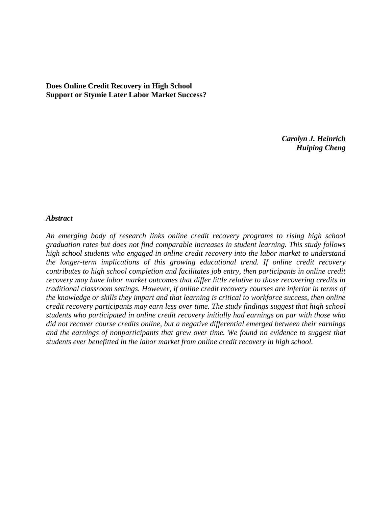**Does Online Credit Recovery in High School Support or Stymie Later Labor Market Success?**

> *Carolyn J. Heinrich Huiping Cheng*

#### *Abstract*

*An emerging body of research links online credit recovery programs to rising high school graduation rates but does not find comparable increases in student learning. This study follows high school students who engaged in online credit recovery into the labor market to understand the longer-term implications of this growing educational trend. If online credit recovery contributes to high school completion and facilitates job entry, then participants in online credit recovery may have labor market outcomes that differ little relative to those recovering credits in traditional classroom settings. However, if online credit recovery courses are inferior in terms of the knowledge or skills they impart and that learning is critical to workforce success, then online credit recovery participants may earn less over time. The study findings suggest that high school students who participated in online credit recovery initially had earnings on par with those who did not recover course credits online, but a negative differential emerged between their earnings and the earnings of nonparticipants that grew over time. We found no evidence to suggest that students ever benefitted in the labor market from online credit recovery in high school.*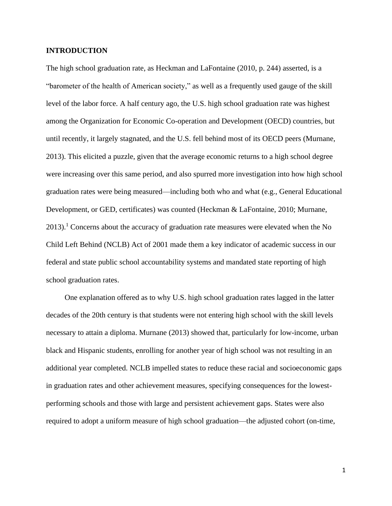## **INTRODUCTION**

The high school graduation rate, as Heckman and LaFontaine (2010, p. 244) asserted, is a "barometer of the health of American society," as well as a frequently used gauge of the skill level of the labor force. A half century ago, the U.S. high school graduation rate was highest among the Organization for Economic Co-operation and Development (OECD) countries, but until recently, it largely stagnated, and the U.S. fell behind most of its OECD peers (Murnane, 2013). This elicited a puzzle, given that the average economic returns to a high school degree were increasing over this same period, and also spurred more investigation into how high school graduation rates were being measured—including both who and what (e.g., General Educational Development, or GED, certificates) was counted (Heckman & LaFontaine, 2010; Murnane,  $2013$ .<sup>1</sup> Concerns about the accuracy of graduation rate measures were elevated when the No Child Left Behind (NCLB) Act of 2001 made them a key indicator of academic success in our federal and state public school accountability systems and mandated state reporting of high school graduation rates.

One explanation offered as to why U.S. high school graduation rates lagged in the latter decades of the 20th century is that students were not entering high school with the skill levels necessary to attain a diploma. Murnane (2013) showed that, particularly for low-income, urban black and Hispanic students, enrolling for another year of high school was not resulting in an additional year completed. NCLB impelled states to reduce these racial and socioeconomic gaps in graduation rates and other achievement measures, specifying consequences for the lowestperforming schools and those with large and persistent achievement gaps. States were also required to adopt a uniform measure of high school graduation—the adjusted cohort (on-time,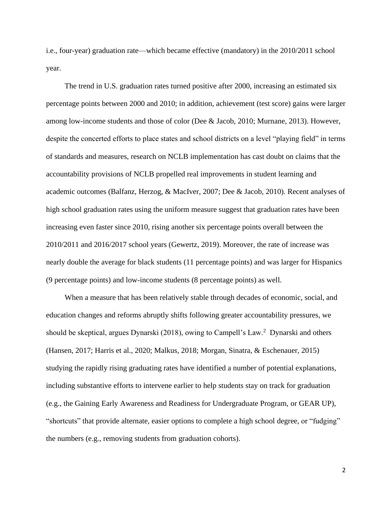i.e., four-year) graduation rate—which became effective (mandatory) in the 2010/2011 school year.

The trend in U.S. graduation rates turned positive after 2000, increasing an estimated six percentage points between 2000 and 2010; in addition, achievement (test score) gains were larger among low-income students and those of color (Dee & Jacob, 2010; Murnane, 2013). However, despite the concerted efforts to place states and school districts on a level "playing field" in terms of standards and measures, research on NCLB implementation has cast doubt on claims that the accountability provisions of NCLB propelled real improvements in student learning and academic outcomes (Balfanz, Herzog, & MacIver, 2007; Dee & Jacob, 2010). Recent analyses of high school graduation rates using the uniform measure suggest that graduation rates have been increasing even faster since 2010, rising another six percentage points overall between the 2010/2011 and 2016/2017 school years (Gewertz, 2019). Moreover, the rate of increase was nearly double the average for black students (11 percentage points) and was larger for Hispanics (9 percentage points) and low-income students (8 percentage points) as well.

When a measure that has been relatively stable through decades of economic, social, and education changes and reforms abruptly shifts following greater accountability pressures, we should be skeptical, argues Dynarski (2018), owing to Campell's Law.<sup>2</sup> Dynarski and others (Hansen, 2017; Harris et al., 2020; Malkus, 2018; Morgan, Sinatra, & Eschenauer, 2015) studying the rapidly rising graduating rates have identified a number of potential explanations, including substantive efforts to intervene earlier to help students stay on track for graduation (e.g., the Gaining Early Awareness and Readiness for Undergraduate Program, or GEAR UP), "shortcuts" that provide alternate, easier options to complete a high school degree, or "fudging" the numbers (e.g., removing students from graduation cohorts).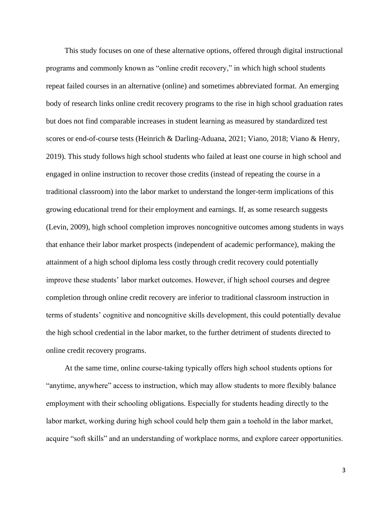This study focuses on one of these alternative options, offered through digital instructional programs and commonly known as "online credit recovery," in which high school students repeat failed courses in an alternative (online) and sometimes abbreviated format. An emerging body of research links online credit recovery programs to the rise in high school graduation rates but does not find comparable increases in student learning as measured by standardized test scores or end-of-course tests (Heinrich & Darling-Aduana, 2021; Viano, 2018; Viano & Henry, 2019). This study follows high school students who failed at least one course in high school and engaged in online instruction to recover those credits (instead of repeating the course in a traditional classroom) into the labor market to understand the longer-term implications of this growing educational trend for their employment and earnings. If, as some research suggests (Levin, 2009), high school completion improves noncognitive outcomes among students in ways that enhance their labor market prospects (independent of academic performance), making the attainment of a high school diploma less costly through credit recovery could potentially improve these students' labor market outcomes. However, if high school courses and degree completion through online credit recovery are inferior to traditional classroom instruction in terms of students' cognitive and noncognitive skills development, this could potentially devalue the high school credential in the labor market, to the further detriment of students directed to online credit recovery programs.

At the same time, online course-taking typically offers high school students options for "anytime, anywhere" access to instruction, which may allow students to more flexibly balance employment with their schooling obligations. Especially for students heading directly to the labor market, working during high school could help them gain a toehold in the labor market, acquire "soft skills" and an understanding of workplace norms, and explore career opportunities.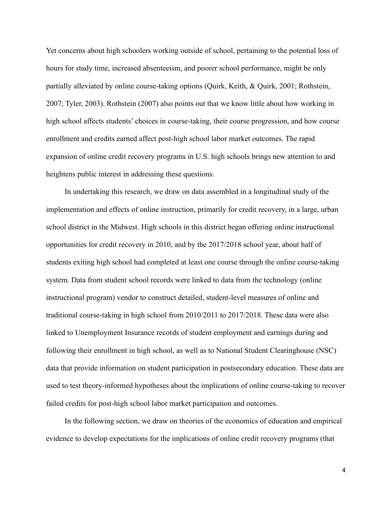Yet concerns about high schoolers working outside of school, pertaining to the potential loss of hours for study time, increased absenteeism, and poorer school performance, might be only partially alleviated by online course-taking options (Quirk, Keith, & Quirk, 2001; Rothstein, 2007; Tyler, 2003). Rothstein (2007) also points out that we know little about how working in high school affects students' choices in course-taking, their course progression, and how course enrollment and credits earned affect post-high school labor market outcomes. The rapid expansion of online credit recovery programs in U.S. high schools brings new attention to and heightens public interest in addressing these questions.

In undertaking this research, we draw on data assembled in a longitudinal study of the implementation and effects of online instruction, primarily for credit recovery, in a large, urban school district in the Midwest. High schools in this district began offering online instructional opportunities for credit recovery in 2010, and by the 2017/2018 school year, about half of students exiting high school had completed at least one course through the online course-taking system. Data from student school records were linked to data from the technology (online instructional program) vendor to construct detailed, student-level measures of online and traditional course-taking in high school from 2010/2011 to 2017/2018. These data were also linked to Unemployment Insurance records of student employment and earnings during and following their enrollment in high school, as well as to National Student Clearinghouse (NSC) data that provide information on student participation in postsecondary education. These data are used to test theory-informed hypotheses about the implications of online course-taking to recover failed credits for post-high school labor market participation and outcomes.

In the following section, we draw on theories of the economics of education and empirical evidence to develop expectations for the implications of online credit recovery programs (that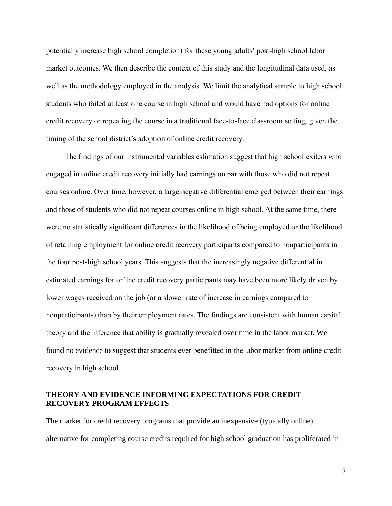potentially increase high school completion) for these young adults' post-high school labor market outcomes. We then describe the context of this study and the longitudinal data used, as well as the methodology employed in the analysis. We limit the analytical sample to high school students who failed at least one course in high school and would have had options for online credit recovery or repeating the course in a traditional face-to-face classroom setting, given the timing of the school district's adoption of online credit recovery.

The findings of our instrumental variables estimation suggest that high school exiters who engaged in online credit recovery initially had earnings on par with those who did not repeat courses online. Over time, however, a large negative differential emerged between their earnings and those of students who did not repeat courses online in high school. At the same time, there were no statistically significant differences in the likelihood of being employed or the likelihood of retaining employment for online credit recovery participants compared to nonparticipants in the four post-high school years. This suggests that the increasingly negative differential in estimated earnings for online credit recovery participants may have been more likely driven by lower wages received on the job (or a slower rate of increase in earnings compared to nonparticipants) than by their employment rates. The findings are consistent with human capital theory and the inference that ability is gradually revealed over time in the labor market. We found no evidence to suggest that students ever benefitted in the labor market from online credit recovery in high school.

# **THEORY AND EVIDENCE INFORMING EXPECTATIONS FOR CREDIT RECOVERY PROGRAM EFFECTS**

The market for credit recovery programs that provide an inexpensive (typically online) alternative for completing course credits required for high school graduation has proliferated in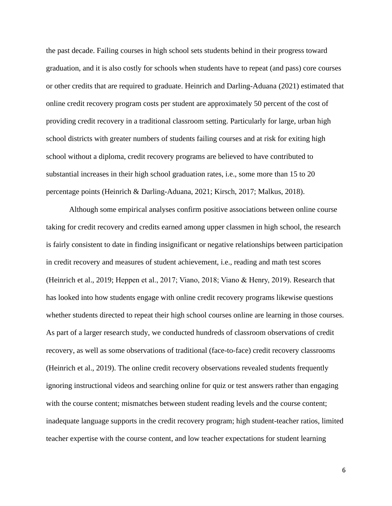the past decade. Failing courses in high school sets students behind in their progress toward graduation, and it is also costly for schools when students have to repeat (and pass) core courses or other credits that are required to graduate. Heinrich and Darling-Aduana (2021) estimated that online credit recovery program costs per student are approximately 50 percent of the cost of providing credit recovery in a traditional classroom setting. Particularly for large, urban high school districts with greater numbers of students failing courses and at risk for exiting high school without a diploma, credit recovery programs are believed to have contributed to substantial increases in their high school graduation rates, i.e., some more than 15 to 20 percentage points (Heinrich & Darling-Aduana, 2021; Kirsch, 2017; Malkus, 2018).

Although some empirical analyses confirm positive associations between online course taking for credit recovery and credits earned among upper classmen in high school, the research is fairly consistent to date in finding insignificant or negative relationships between participation in credit recovery and measures of student achievement, i.e., reading and math test scores (Heinrich et al., 2019; Heppen et al., 2017; Viano, 2018; Viano & Henry, 2019). Research that has looked into how students engage with online credit recovery programs likewise questions whether students directed to repeat their high school courses online are learning in those courses. As part of a larger research study, we conducted hundreds of classroom observations of credit recovery, as well as some observations of traditional (face-to-face) credit recovery classrooms (Heinrich et al., 2019). The online credit recovery observations revealed students frequently ignoring instructional videos and searching online for quiz or test answers rather than engaging with the course content; mismatches between student reading levels and the course content; inadequate language supports in the credit recovery program; high student-teacher ratios, limited teacher expertise with the course content, and low teacher expectations for student learning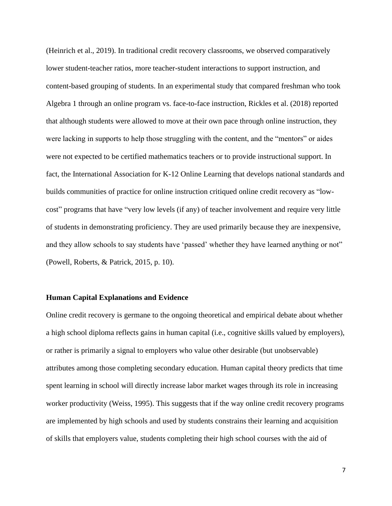(Heinrich et al., 2019). In traditional credit recovery classrooms, we observed comparatively lower student-teacher ratios, more teacher-student interactions to support instruction, and content-based grouping of students. In an experimental study that compared freshman who took Algebra 1 through an online program vs. face-to-face instruction, Rickles et al. (2018) reported that although students were allowed to move at their own pace through online instruction, they were lacking in supports to help those struggling with the content, and the "mentors" or aides were not expected to be certified mathematics teachers or to provide instructional support. In fact, the International Association for K-12 Online Learning that develops national standards and builds communities of practice for online instruction critiqued online credit recovery as "lowcost" programs that have "very low levels (if any) of teacher involvement and require very little of students in demonstrating proficiency. They are used primarily because they are inexpensive, and they allow schools to say students have 'passed' whether they have learned anything or not" (Powell, Roberts, & Patrick, 2015, p. 10).

#### **Human Capital Explanations and Evidence**

Online credit recovery is germane to the ongoing theoretical and empirical debate about whether a high school diploma reflects gains in human capital (i.e., cognitive skills valued by employers), or rather is primarily a signal to employers who value other desirable (but unobservable) attributes among those completing secondary education. Human capital theory predicts that time spent learning in school will directly increase labor market wages through its role in increasing worker productivity (Weiss, 1995). This suggests that if the way online credit recovery programs are implemented by high schools and used by students constrains their learning and acquisition of skills that employers value, students completing their high school courses with the aid of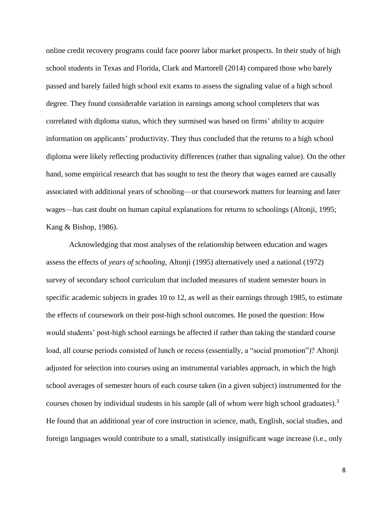online credit recovery programs could face poorer labor market prospects. In their study of high school students in Texas and Florida, Clark and Martorell (2014) compared those who barely passed and barely failed high school exit exams to assess the signaling value of a high school degree. They found considerable variation in earnings among school completers that was correlated with diploma status, which they surmised was based on firms' ability to acquire information on applicants' productivity. They thus concluded that the returns to a high school diploma were likely reflecting productivity differences (rather than signaling value). On the other hand, some empirical research that has sought to test the theory that wages earned are causally associated with additional years of schooling—or that coursework matters for learning and later wages—has cast doubt on human capital explanations for returns to schoolings (Altonji, 1995; Kang & Bishop, 1986).

Acknowledging that most analyses of the relationship between education and wages assess the effects of *years of schooling,* Altonji (1995) alternatively used a national (1972) survey of secondary school curriculum that included measures of student semester hours in specific academic subjects in grades 10 to 12, as well as their earnings through 1985, to estimate the effects of coursework on their post-high school outcomes. He posed the question: How would students' post-high school earnings be affected if rather than taking the standard course load, all course periods consisted of lunch or recess (essentially, a "social promotion")? Altonji adjusted for selection into courses using an instrumental variables approach, in which the high school averages of semester hours of each course taken (in a given subject) instrumented for the courses chosen by individual students in his sample (all of whom were high school graduates).<sup>3</sup> He found that an additional year of core instruction in science, math, English, social studies, and foreign languages would contribute to a small, statistically insignificant wage increase (i.e., only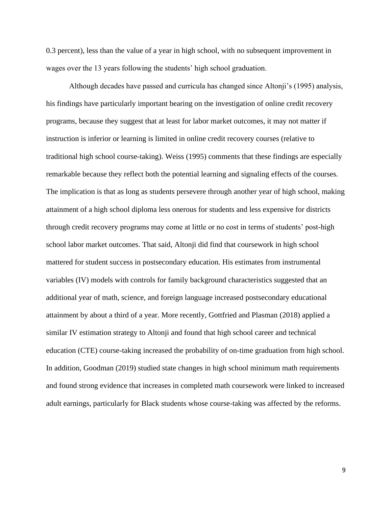0.3 percent), less than the value of a year in high school, with no subsequent improvement in wages over the 13 years following the students' high school graduation.

Although decades have passed and curricula has changed since Altonji's (1995) analysis, his findings have particularly important bearing on the investigation of online credit recovery programs, because they suggest that at least for labor market outcomes, it may not matter if instruction is inferior or learning is limited in online credit recovery courses (relative to traditional high school course-taking). Weiss (1995) comments that these findings are especially remarkable because they reflect both the potential learning and signaling effects of the courses. The implication is that as long as students persevere through another year of high school, making attainment of a high school diploma less onerous for students and less expensive for districts through credit recovery programs may come at little or no cost in terms of students' post-high school labor market outcomes. That said, Altonji did find that coursework in high school mattered for student success in postsecondary education. His estimates from instrumental variables (IV) models with controls for family background characteristics suggested that an additional year of math, science, and foreign language increased postsecondary educational attainment by about a third of a year. More recently, Gottfried and Plasman (2018) applied a similar IV estimation strategy to Altonji and found that high school career and technical education (CTE) course-taking increased the probability of on-time graduation from high school. In addition, Goodman (2019) studied state changes in high school minimum math requirements and found strong evidence that increases in completed math coursework were linked to increased adult earnings, particularly for Black students whose course-taking was affected by the reforms.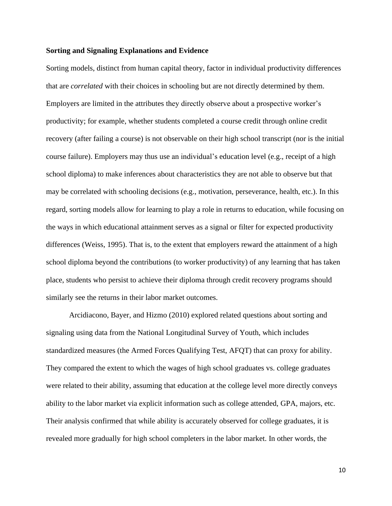#### **Sorting and Signaling Explanations and Evidence**

Sorting models, distinct from human capital theory, factor in individual productivity differences that are *correlated* with their choices in schooling but are not directly determined by them. Employers are limited in the attributes they directly observe about a prospective worker's productivity; for example, whether students completed a course credit through online credit recovery (after failing a course) is not observable on their high school transcript (nor is the initial course failure). Employers may thus use an individual's education level (e.g., receipt of a high school diploma) to make inferences about characteristics they are not able to observe but that may be correlated with schooling decisions (e.g., motivation, perseverance, health, etc.). In this regard, sorting models allow for learning to play a role in returns to education, while focusing on the ways in which educational attainment serves as a signal or filter for expected productivity differences (Weiss, 1995). That is, to the extent that employers reward the attainment of a high school diploma beyond the contributions (to worker productivity) of any learning that has taken place, students who persist to achieve their diploma through credit recovery programs should similarly see the returns in their labor market outcomes.

Arcidiacono, Bayer, and Hizmo (2010) explored related questions about sorting and signaling using data from the National Longitudinal Survey of Youth, which includes standardized measures (the Armed Forces Qualifying Test, AFQT) that can proxy for ability. They compared the extent to which the wages of high school graduates vs. college graduates were related to their ability, assuming that education at the college level more directly conveys ability to the labor market via explicit information such as college attended, GPA, majors, etc. Their analysis confirmed that while ability is accurately observed for college graduates, it is revealed more gradually for high school completers in the labor market. In other words, the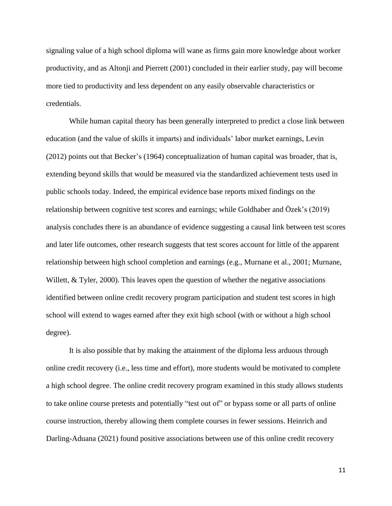signaling value of a high school diploma will wane as firms gain more knowledge about worker productivity, and as Altonji and Pierrett (2001) concluded in their earlier study, pay will become more tied to productivity and less dependent on any easily observable characteristics or credentials.

While human capital theory has been generally interpreted to predict a close link between education (and the value of skills it imparts) and individuals' labor market earnings, Levin (2012) points out that Becker's (1964) conceptualization of human capital was broader, that is, extending beyond skills that would be measured via the standardized achievement tests used in public schools today. Indeed, the empirical evidence base reports mixed findings on the relationship between cognitive test scores and earnings; while Goldhaber and Özek's (2019) analysis concludes there is an abundance of evidence suggesting a causal link between test scores and later life outcomes, other research suggests that test scores account for little of the apparent relationship between high school completion and earnings (e.g., Murnane et al., 2001; Murnane, Willett, & Tyler, 2000). This leaves open the question of whether the negative associations identified between online credit recovery program participation and student test scores in high school will extend to wages earned after they exit high school (with or without a high school degree).

It is also possible that by making the attainment of the diploma less arduous through online credit recovery (i.e., less time and effort), more students would be motivated to complete a high school degree. The online credit recovery program examined in this study allows students to take online course pretests and potentially "test out of" or bypass some or all parts of online course instruction, thereby allowing them complete courses in fewer sessions. Heinrich and Darling-Aduana (2021) found positive associations between use of this online credit recovery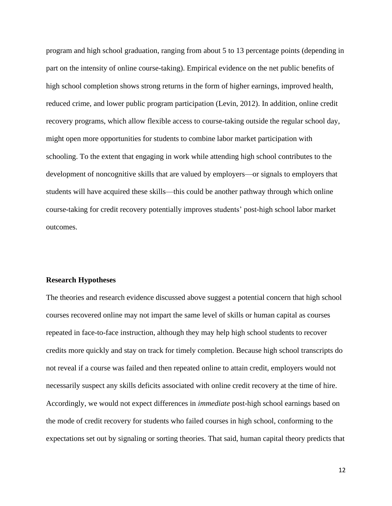program and high school graduation, ranging from about 5 to 13 percentage points (depending in part on the intensity of online course-taking). Empirical evidence on the net public benefits of high school completion shows strong returns in the form of higher earnings, improved health, reduced crime, and lower public program participation (Levin, 2012). In addition, online credit recovery programs, which allow flexible access to course-taking outside the regular school day, might open more opportunities for students to combine labor market participation with schooling. To the extent that engaging in work while attending high school contributes to the development of noncognitive skills that are valued by employers—or signals to employers that students will have acquired these skills—this could be another pathway through which online course-taking for credit recovery potentially improves students' post-high school labor market outcomes.

#### **Research Hypotheses**

The theories and research evidence discussed above suggest a potential concern that high school courses recovered online may not impart the same level of skills or human capital as courses repeated in face-to-face instruction, although they may help high school students to recover credits more quickly and stay on track for timely completion. Because high school transcripts do not reveal if a course was failed and then repeated online to attain credit, employers would not necessarily suspect any skills deficits associated with online credit recovery at the time of hire. Accordingly, we would not expect differences in *immediate* post-high school earnings based on the mode of credit recovery for students who failed courses in high school, conforming to the expectations set out by signaling or sorting theories. That said, human capital theory predicts that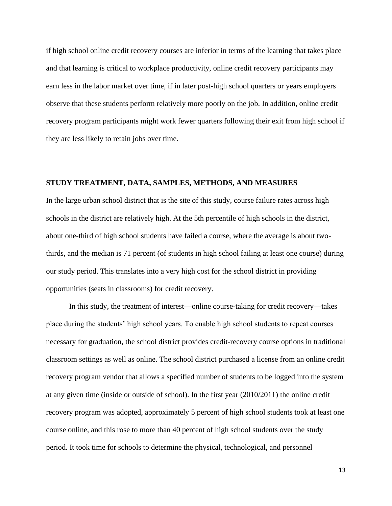if high school online credit recovery courses are inferior in terms of the learning that takes place and that learning is critical to workplace productivity, online credit recovery participants may earn less in the labor market over time, if in later post-high school quarters or years employers observe that these students perform relatively more poorly on the job. In addition, online credit recovery program participants might work fewer quarters following their exit from high school if they are less likely to retain jobs over time.

## **STUDY TREATMENT, DATA, SAMPLES, METHODS, AND MEASURES**

In the large urban school district that is the site of this study, course failure rates across high schools in the district are relatively high. At the 5th percentile of high schools in the district, about one-third of high school students have failed a course, where the average is about twothirds, and the median is 71 percent (of students in high school failing at least one course) during our study period. This translates into a very high cost for the school district in providing opportunities (seats in classrooms) for credit recovery.

In this study, the treatment of interest—online course-taking for credit recovery—takes place during the students' high school years. To enable high school students to repeat courses necessary for graduation, the school district provides credit-recovery course options in traditional classroom settings as well as online. The school district purchased a license from an online credit recovery program vendor that allows a specified number of students to be logged into the system at any given time (inside or outside of school). In the first year (2010/2011) the online credit recovery program was adopted, approximately 5 percent of high school students took at least one course online, and this rose to more than 40 percent of high school students over the study period. It took time for schools to determine the physical, technological, and personnel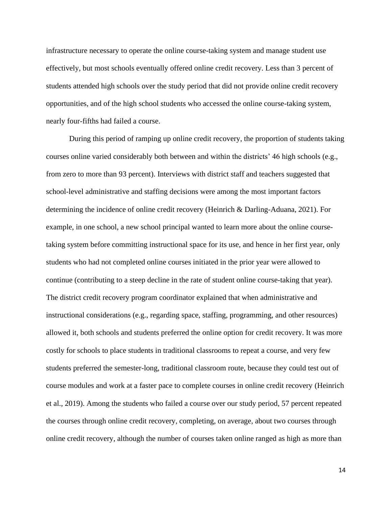infrastructure necessary to operate the online course-taking system and manage student use effectively, but most schools eventually offered online credit recovery. Less than 3 percent of students attended high schools over the study period that did not provide online credit recovery opportunities, and of the high school students who accessed the online course-taking system, nearly four-fifths had failed a course.

During this period of ramping up online credit recovery, the proportion of students taking courses online varied considerably both between and within the districts' 46 high schools (e.g., from zero to more than 93 percent). Interviews with district staff and teachers suggested that school-level administrative and staffing decisions were among the most important factors determining the incidence of online credit recovery (Heinrich & Darling-Aduana, 2021). For example, in one school, a new school principal wanted to learn more about the online coursetaking system before committing instructional space for its use, and hence in her first year, only students who had not completed online courses initiated in the prior year were allowed to continue (contributing to a steep decline in the rate of student online course-taking that year). The district credit recovery program coordinator explained that when administrative and instructional considerations (e.g., regarding space, staffing, programming, and other resources) allowed it, both schools and students preferred the online option for credit recovery. It was more costly for schools to place students in traditional classrooms to repeat a course, and very few students preferred the semester-long, traditional classroom route, because they could test out of course modules and work at a faster pace to complete courses in online credit recovery (Heinrich et al., 2019). Among the students who failed a course over our study period, 57 percent repeated the courses through online credit recovery, completing, on average, about two courses through online credit recovery, although the number of courses taken online ranged as high as more than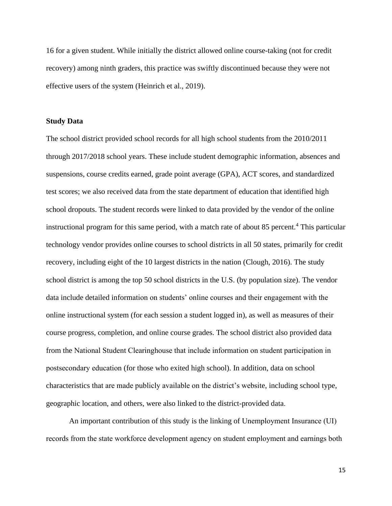16 for a given student. While initially the district allowed online course-taking (not for credit recovery) among ninth graders, this practice was swiftly discontinued because they were not effective users of the system (Heinrich et al., 2019).

#### **Study Data**

The school district provided school records for all high school students from the 2010/2011 through 2017/2018 school years. These include student demographic information, absences and suspensions, course credits earned, grade point average (GPA), ACT scores, and standardized test scores; we also received data from the state department of education that identified high school dropouts. The student records were linked to data provided by the vendor of the online instructional program for this same period, with a match rate of about 85 percent.<sup>4</sup> This particular technology vendor provides online courses to school districts in all 50 states, primarily for credit recovery, including eight of the 10 largest districts in the nation (Clough, 2016). The study school district is among the top 50 school districts in the U.S. (by population size). The vendor data include detailed information on students' online courses and their engagement with the online instructional system (for each session a student logged in), as well as measures of their course progress, completion, and online course grades. The school district also provided data from the National Student Clearinghouse that include information on student participation in postsecondary education (for those who exited high school). In addition, data on school characteristics that are made publicly available on the district's website, including school type, geographic location, and others, were also linked to the district-provided data.

An important contribution of this study is the linking of Unemployment Insurance (UI) records from the state workforce development agency on student employment and earnings both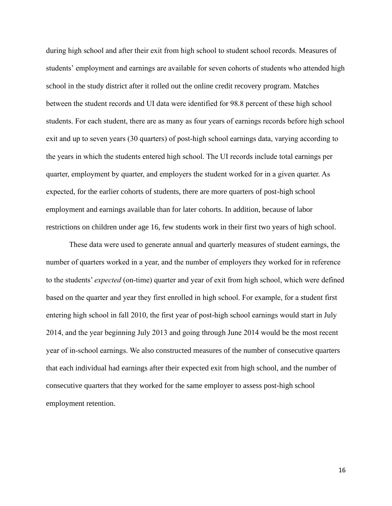during high school and after their exit from high school to student school records. Measures of students' employment and earnings are available for seven cohorts of students who attended high school in the study district after it rolled out the online credit recovery program. Matches between the student records and UI data were identified for 98.8 percent of these high school students. For each student, there are as many as four years of earnings records before high school exit and up to seven years (30 quarters) of post-high school earnings data, varying according to the years in which the students entered high school. The UI records include total earnings per quarter, employment by quarter, and employers the student worked for in a given quarter. As expected, for the earlier cohorts of students, there are more quarters of post-high school employment and earnings available than for later cohorts. In addition, because of labor restrictions on children under age 16, few students work in their first two years of high school.

These data were used to generate annual and quarterly measures of student earnings, the number of quarters worked in a year, and the number of employers they worked for in reference to the students' *expected* (on-time) quarter and year of exit from high school, which were defined based on the quarter and year they first enrolled in high school. For example, for a student first entering high school in fall 2010, the first year of post-high school earnings would start in July 2014, and the year beginning July 2013 and going through June 2014 would be the most recent year of in-school earnings. We also constructed measures of the number of consecutive quarters that each individual had earnings after their expected exit from high school, and the number of consecutive quarters that they worked for the same employer to assess post-high school employment retention.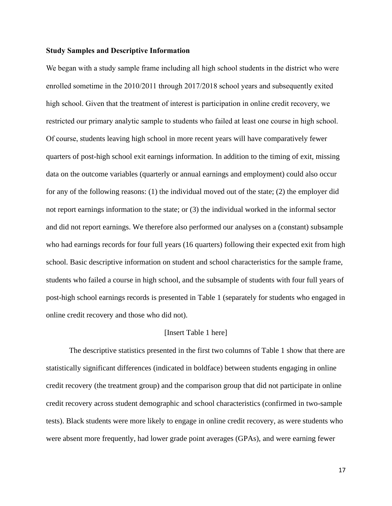#### **Study Samples and Descriptive Information**

We began with a study sample frame including all high school students in the district who were enrolled sometime in the 2010/2011 through 2017/2018 school years and subsequently exited high school. Given that the treatment of interest is participation in online credit recovery, we restricted our primary analytic sample to students who failed at least one course in high school. Of course, students leaving high school in more recent years will have comparatively fewer quarters of post-high school exit earnings information. In addition to the timing of exit, missing data on the outcome variables (quarterly or annual earnings and employment) could also occur for any of the following reasons: (1) the individual moved out of the state; (2) the employer did not report earnings information to the state; or (3) the individual worked in the informal sector and did not report earnings. We therefore also performed our analyses on a (constant) subsample who had earnings records for four full years (16 quarters) following their expected exit from high school. Basic descriptive information on student and school characteristics for the sample frame, students who failed a course in high school, and the subsample of students with four full years of post-high school earnings records is presented in Table 1 (separately for students who engaged in online credit recovery and those who did not).

#### [Insert Table 1 here]

The descriptive statistics presented in the first two columns of Table 1 show that there are statistically significant differences (indicated in boldface) between students engaging in online credit recovery (the treatment group) and the comparison group that did not participate in online credit recovery across student demographic and school characteristics (confirmed in two-sample tests). Black students were more likely to engage in online credit recovery, as were students who were absent more frequently, had lower grade point averages (GPAs), and were earning fewer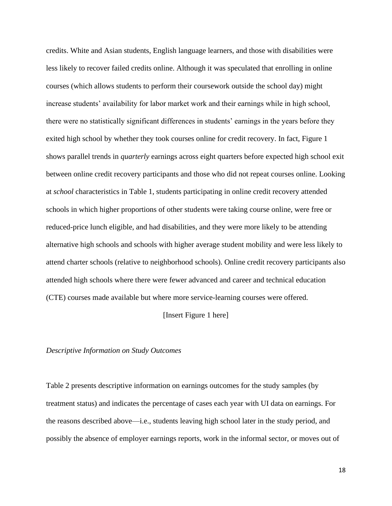credits. White and Asian students, English language learners, and those with disabilities were less likely to recover failed credits online. Although it was speculated that enrolling in online courses (which allows students to perform their coursework outside the school day) might increase students' availability for labor market work and their earnings while in high school, there were no statistically significant differences in students' earnings in the years before they exited high school by whether they took courses online for credit recovery. In fact, Figure 1 shows parallel trends in *quarterly* earnings across eight quarters before expected high school exit between online credit recovery participants and those who did not repeat courses online. Looking at *school* characteristics in Table 1, students participating in online credit recovery attended schools in which higher proportions of other students were taking course online, were free or reduced-price lunch eligible, and had disabilities, and they were more likely to be attending alternative high schools and schools with higher average student mobility and were less likely to attend charter schools (relative to neighborhood schools). Online credit recovery participants also attended high schools where there were fewer advanced and career and technical education (CTE) courses made available but where more service-learning courses were offered.

#### [Insert Figure 1 here]

#### *Descriptive Information on Study Outcomes*

Table 2 presents descriptive information on earnings outcomes for the study samples (by treatment status) and indicates the percentage of cases each year with UI data on earnings. For the reasons described above—i.e., students leaving high school later in the study period, and possibly the absence of employer earnings reports, work in the informal sector, or moves out of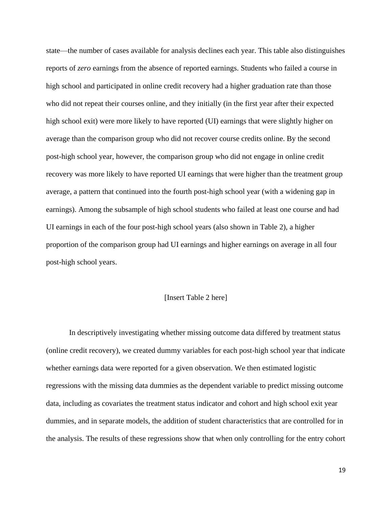state—the number of cases available for analysis declines each year. This table also distinguishes reports of *zero* earnings from the absence of reported earnings. Students who failed a course in high school and participated in online credit recovery had a higher graduation rate than those who did not repeat their courses online, and they initially (in the first year after their expected high school exit) were more likely to have reported (UI) earnings that were slightly higher on average than the comparison group who did not recover course credits online. By the second post-high school year, however, the comparison group who did not engage in online credit recovery was more likely to have reported UI earnings that were higher than the treatment group average, a pattern that continued into the fourth post-high school year (with a widening gap in earnings). Among the subsample of high school students who failed at least one course and had UI earnings in each of the four post-high school years (also shown in Table 2), a higher proportion of the comparison group had UI earnings and higher earnings on average in all four post-high school years.

## [Insert Table 2 here]

In descriptively investigating whether missing outcome data differed by treatment status (online credit recovery), we created dummy variables for each post-high school year that indicate whether earnings data were reported for a given observation. We then estimated logistic regressions with the missing data dummies as the dependent variable to predict missing outcome data, including as covariates the treatment status indicator and cohort and high school exit year dummies, and in separate models, the addition of student characteristics that are controlled for in the analysis. The results of these regressions show that when only controlling for the entry cohort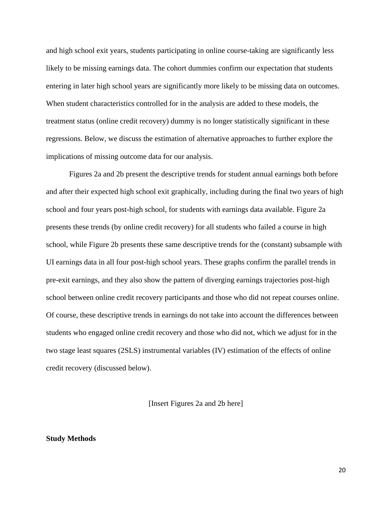and high school exit years, students participating in online course-taking are significantly less likely to be missing earnings data. The cohort dummies confirm our expectation that students entering in later high school years are significantly more likely to be missing data on outcomes. When student characteristics controlled for in the analysis are added to these models, the treatment status (online credit recovery) dummy is no longer statistically significant in these regressions. Below, we discuss the estimation of alternative approaches to further explore the implications of missing outcome data for our analysis.

Figures 2a and 2b present the descriptive trends for student annual earnings both before and after their expected high school exit graphically, including during the final two years of high school and four years post-high school, for students with earnings data available. Figure 2a presents these trends (by online credit recovery) for all students who failed a course in high school, while Figure 2b presents these same descriptive trends for the (constant) subsample with UI earnings data in all four post-high school years. These graphs confirm the parallel trends in pre-exit earnings, and they also show the pattern of diverging earnings trajectories post-high school between online credit recovery participants and those who did not repeat courses online. Of course, these descriptive trends in earnings do not take into account the differences between students who engaged online credit recovery and those who did not, which we adjust for in the two stage least squares (2SLS) instrumental variables (IV) estimation of the effects of online credit recovery (discussed below).

[Insert Figures 2a and 2b here]

## **Study Methods**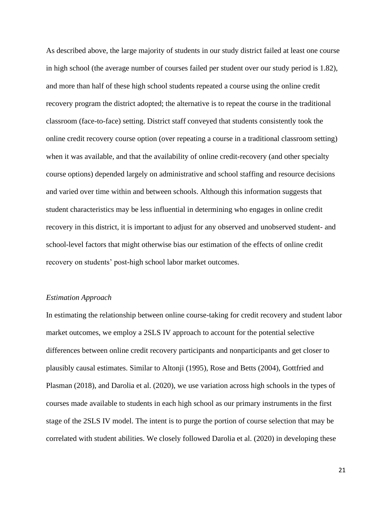As described above, the large majority of students in our study district failed at least one course in high school (the average number of courses failed per student over our study period is 1.82), and more than half of these high school students repeated a course using the online credit recovery program the district adopted; the alternative is to repeat the course in the traditional classroom (face-to-face) setting. District staff conveyed that students consistently took the online credit recovery course option (over repeating a course in a traditional classroom setting) when it was available, and that the availability of online credit-recovery (and other specialty course options) depended largely on administrative and school staffing and resource decisions and varied over time within and between schools. Although this information suggests that student characteristics may be less influential in determining who engages in online credit recovery in this district, it is important to adjust for any observed and unobserved student- and school-level factors that might otherwise bias our estimation of the effects of online credit recovery on students' post-high school labor market outcomes.

#### *Estimation Approach*

In estimating the relationship between online course-taking for credit recovery and student labor market outcomes, we employ a 2SLS IV approach to account for the potential selective differences between online credit recovery participants and nonparticipants and get closer to plausibly causal estimates. Similar to Altonji (1995), Rose and Betts (2004), Gottfried and Plasman (2018), and Darolia et al. (2020), we use variation across high schools in the types of courses made available to students in each high school as our primary instruments in the first stage of the 2SLS IV model. The intent is to purge the portion of course selection that may be correlated with student abilities. We closely followed Darolia et al. (2020) in developing these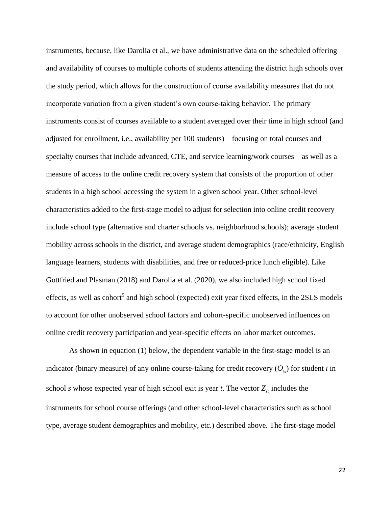instruments, because, like Darolia et al., we have administrative data on the scheduled offering and availability of courses to multiple cohorts of students attending the district high schools over the study period, which allows for the construction of course availability measures that do not incorporate variation from a given student's own course-taking behavior. The primary instruments consist of courses available to a student averaged over their time in high school (and adjusted for enrollment, i.e., availability per 100 students)—focusing on total courses and specialty courses that include advanced, CTE, and service learning/work courses—as well as a measure of access to the online credit recovery system that consists of the proportion of other students in a high school accessing the system in a given school year. Other school-level characteristics added to the first-stage model to adjust for selection into online credit recovery include school type (alternative and charter schools vs. neighborhood schools); average student mobility across schools in the district, and average student demographics (race/ethnicity, English language learners, students with disabilities, and free or reduced-price lunch eligible). Like Gottfried and Plasman (2018) and Darolia et al. (2020), we also included high school fixed effects, as well as cohort<sup>5</sup> and high school (expected) exit year fixed effects, in the 2SLS models to account for other unobserved school factors and cohort-specific unobserved influences on online credit recovery participation and year-specific effects on labor market outcomes.

As shown in equation (1) below, the dependent variable in the first-stage model is an indicator (binary measure) of any online course-taking for credit recovery  $(O_{i,j})$  for student *i* in school *s* whose expected year of high school exit is year *t*. The vector  $Z_{st}$  includes the instruments for school course offerings (and other school-level characteristics such as school type, average student demographics and mobility, etc.) described above. The first-stage model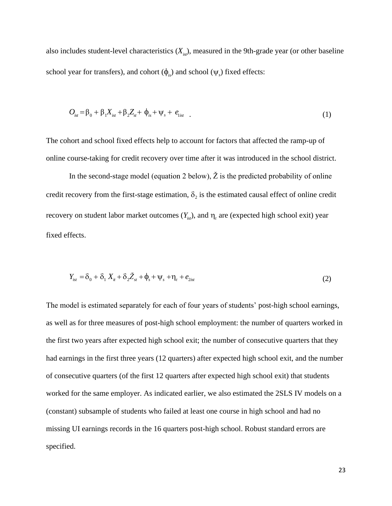also includes student-level characteristics  $(X_{i}^{k})$ , measured in the 9th-grade year (or other baseline school year for transfers), and cohort  $(\phi_{i_s})$  and school  $(\psi_s)$  fixed effects:

$$
O_{\rm{ist}} = \beta_0 + \beta_1 X_{\rm{ist}} + \beta_2 Z_{\rm{st}} + \phi_{\rm{is}} + \psi_{\rm{s}} + e_{\rm{list}} \quad . \tag{1}
$$

The cohort and school fixed effects help to account for factors that affected the ramp-up of online course-taking for credit recovery over time after it was introduced in the school district.

In the second-stage model (equation 2 below),  $\check{Z}$  is the predicted probability of online credit recovery from the first-stage estimation,  $\delta_2$  is the estimated causal effect of online credit recovery on student labor market outcomes  $(Y_{ist})$ , and  $\eta_t$  are (expected high school exit) year fixed effects.

$$
Y_{ist} = \delta_0 + \delta_1 X_{it} + \delta_2 \check{Z}_{st} + \phi_s + \psi_s + \eta_t + e_{2ist}
$$
\n<sup>(2)</sup>

The model is estimated separately for each of four years of students' post-high school earnings, as well as for three measures of post-high school employment: the number of quarters worked in the first two years after expected high school exit; the number of consecutive quarters that they had earnings in the first three years (12 quarters) after expected high school exit, and the number of consecutive quarters (of the first 12 quarters after expected high school exit) that students worked for the same employer. As indicated earlier, we also estimated the 2SLS IV models on a (constant) subsample of students who failed at least one course in high school and had no missing UI earnings records in the 16 quarters post-high school. Robust standard errors are specified.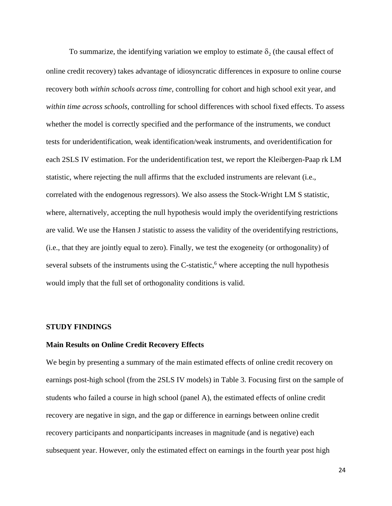To summarize, the identifying variation we employ to estimate  $\delta_2$  (the causal effect of online credit recovery) takes advantage of idiosyncratic differences in exposure to online course recovery both *within schools across time*, controlling for cohort and high school exit year, and *within time across schools*, controlling for school differences with school fixed effects. To assess whether the model is correctly specified and the performance of the instruments, we conduct tests for underidentification, weak identification/weak instruments, and overidentification for each 2SLS IV estimation. For the underidentification test, we report the Kleibergen-Paap rk LM statistic, where rejecting the null affirms that the excluded instruments are relevant (i.e., correlated with the endogenous regressors). We also assess the Stock-Wright LM S statistic, where, alternatively, accepting the null hypothesis would imply the overidentifying restrictions are valid. We use the Hansen J statistic to assess the validity of the overidentifying restrictions, (i.e., that they are jointly equal to zero). Finally, we test the exogeneity (or orthogonality) of several subsets of the instruments using the C-statistic,<sup>6</sup> where accepting the null hypothesis would imply that the full set of orthogonality conditions is valid.

## **STUDY FINDINGS**

## **Main Results on Online Credit Recovery Effects**

We begin by presenting a summary of the main estimated effects of online credit recovery on earnings post-high school (from the 2SLS IV models) in Table 3. Focusing first on the sample of students who failed a course in high school (panel A), the estimated effects of online credit recovery are negative in sign, and the gap or difference in earnings between online credit recovery participants and nonparticipants increases in magnitude (and is negative) each subsequent year. However, only the estimated effect on earnings in the fourth year post high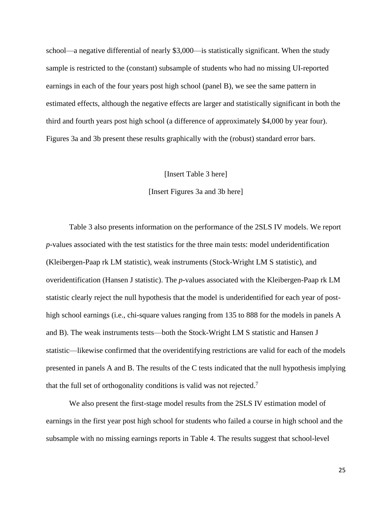school—a negative differential of nearly \$3,000—is statistically significant. When the study sample is restricted to the (constant) subsample of students who had no missing UI-reported earnings in each of the four years post high school (panel B), we see the same pattern in estimated effects, although the negative effects are larger and statistically significant in both the third and fourth years post high school (a difference of approximately \$4,000 by year four). Figures 3a and 3b present these results graphically with the (robust) standard error bars.

[Insert Table 3 here]

[Insert Figures 3a and 3b here]

Table 3 also presents information on the performance of the 2SLS IV models. We report *p*-values associated with the test statistics for the three main tests: model underidentification (Kleibergen-Paap rk LM statistic), weak instruments (Stock-Wright LM S statistic), and overidentification (Hansen J statistic). The *p*-values associated with the Kleibergen-Paap rk LM statistic clearly reject the null hypothesis that the model is underidentified for each year of posthigh school earnings (i.e., chi-square values ranging from 135 to 888 for the models in panels A and B). The weak instruments tests—both the Stock-Wright LM S statistic and Hansen J statistic—likewise confirmed that the overidentifying restrictions are valid for each of the models presented in panels A and B. The results of the C tests indicated that the null hypothesis implying that the full set of orthogonality conditions is valid was not rejected.<sup>7</sup>

We also present the first-stage model results from the 2SLS IV estimation model of earnings in the first year post high school for students who failed a course in high school and the subsample with no missing earnings reports in Table 4. The results suggest that school-level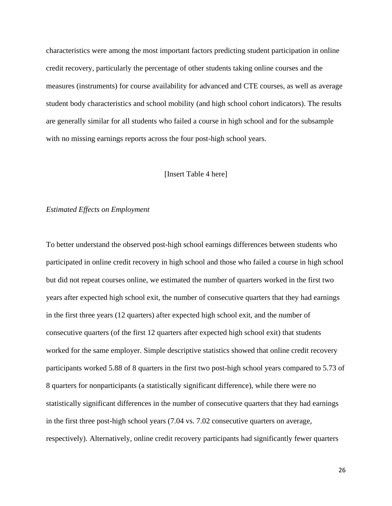characteristics were among the most important factors predicting student participation in online credit recovery, particularly the percentage of other students taking online courses and the measures (instruments) for course availability for advanced and CTE courses, as well as average student body characteristics and school mobility (and high school cohort indicators). The results are generally similar for all students who failed a course in high school and for the subsample with no missing earnings reports across the four post-high school years.

## [Insert Table 4 here]

## *Estimated Effects on Employment*

To better understand the observed post-high school earnings differences between students who participated in online credit recovery in high school and those who failed a course in high school but did not repeat courses online, we estimated the number of quarters worked in the first two years after expected high school exit, the number of consecutive quarters that they had earnings in the first three years (12 quarters) after expected high school exit, and the number of consecutive quarters (of the first 12 quarters after expected high school exit) that students worked for the same employer. Simple descriptive statistics showed that online credit recovery participants worked 5.88 of 8 quarters in the first two post-high school years compared to 5.73 of 8 quarters for nonparticipants (a statistically significant difference), while there were no statistically significant differences in the number of consecutive quarters that they had earnings in the first three post-high school years (7.04 vs. 7.02 consecutive quarters on average, respectively). Alternatively, online credit recovery participants had significantly fewer quarters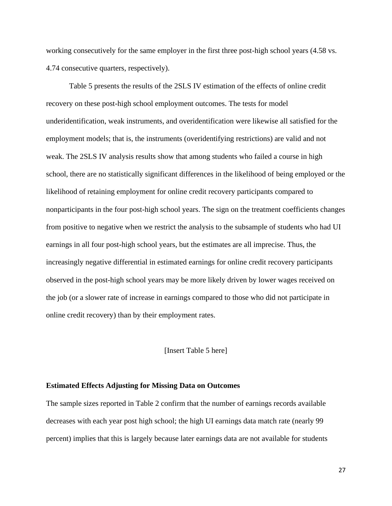working consecutively for the same employer in the first three post-high school years (4.58 vs. 4.74 consecutive quarters, respectively).

Table 5 presents the results of the 2SLS IV estimation of the effects of online credit recovery on these post-high school employment outcomes. The tests for model underidentification, weak instruments, and overidentification were likewise all satisfied for the employment models; that is, the instruments (overidentifying restrictions) are valid and not weak. The 2SLS IV analysis results show that among students who failed a course in high school, there are no statistically significant differences in the likelihood of being employed or the likelihood of retaining employment for online credit recovery participants compared to nonparticipants in the four post-high school years. The sign on the treatment coefficients changes from positive to negative when we restrict the analysis to the subsample of students who had UI earnings in all four post-high school years, but the estimates are all imprecise. Thus, the increasingly negative differential in estimated earnings for online credit recovery participants observed in the post-high school years may be more likely driven by lower wages received on the job (or a slower rate of increase in earnings compared to those who did not participate in online credit recovery) than by their employment rates.

## [Insert Table 5 here]

#### **Estimated Effects Adjusting for Missing Data on Outcomes**

The sample sizes reported in Table 2 confirm that the number of earnings records available decreases with each year post high school; the high UI earnings data match rate (nearly 99 percent) implies that this is largely because later earnings data are not available for students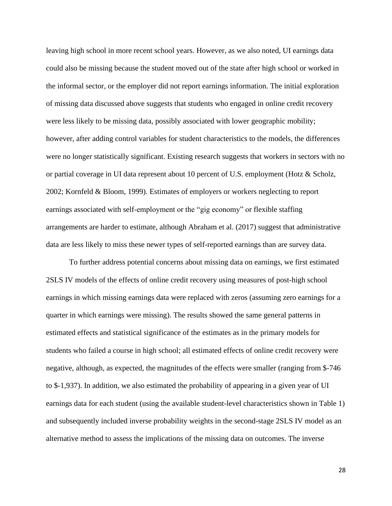leaving high school in more recent school years. However, as we also noted, UI earnings data could also be missing because the student moved out of the state after high school or worked in the informal sector, or the employer did not report earnings information. The initial exploration of missing data discussed above suggests that students who engaged in online credit recovery were less likely to be missing data, possibly associated with lower geographic mobility; however, after adding control variables for student characteristics to the models, the differences were no longer statistically significant. Existing research suggests that workers in sectors with no or partial coverage in UI data represent about 10 percent of U.S. employment (Hotz & Scholz, 2002; Kornfeld & Bloom, 1999). Estimates of employers or workers neglecting to report earnings associated with self-employment or the "gig economy" or flexible staffing arrangements are harder to estimate, although Abraham et al. (2017) suggest that administrative data are less likely to miss these newer types of self-reported earnings than are survey data.

To further address potential concerns about missing data on earnings, we first estimated 2SLS IV models of the effects of online credit recovery using measures of post-high school earnings in which missing earnings data were replaced with zeros (assuming zero earnings for a quarter in which earnings were missing). The results showed the same general patterns in estimated effects and statistical significance of the estimates as in the primary models for students who failed a course in high school; all estimated effects of online credit recovery were negative, although, as expected, the magnitudes of the effects were smaller (ranging from \$-746 to \$-1,937). In addition, we also estimated the probability of appearing in a given year of UI earnings data for each student (using the available student-level characteristics shown in Table 1) and subsequently included inverse probability weights in the second-stage 2SLS IV model as an alternative method to assess the implications of the missing data on outcomes. The inverse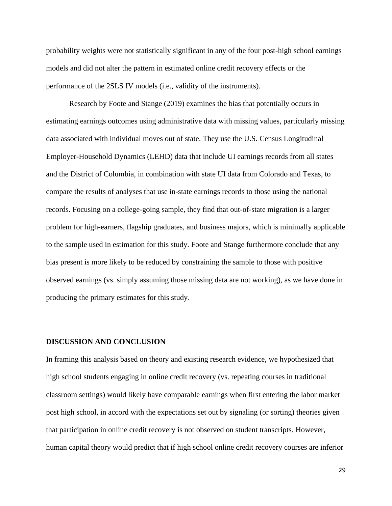probability weights were not statistically significant in any of the four post-high school earnings models and did not alter the pattern in estimated online credit recovery effects or the performance of the 2SLS IV models (i.e., validity of the instruments).

Research by Foote and Stange (2019) examines the bias that potentially occurs in estimating earnings outcomes using administrative data with missing values, particularly missing data associated with individual moves out of state. They use the U.S. Census Longitudinal Employer-Household Dynamics (LEHD) data that include UI earnings records from all states and the District of Columbia, in combination with state UI data from Colorado and Texas, to compare the results of analyses that use in-state earnings records to those using the national records. Focusing on a college-going sample, they find that out-of-state migration is a larger problem for high-earners, flagship graduates, and business majors, which is minimally applicable to the sample used in estimation for this study. Foote and Stange furthermore conclude that any bias present is more likely to be reduced by constraining the sample to those with positive observed earnings (vs. simply assuming those missing data are not working), as we have done in producing the primary estimates for this study.

# **DISCUSSION AND CONCLUSION**

In framing this analysis based on theory and existing research evidence, we hypothesized that high school students engaging in online credit recovery (vs. repeating courses in traditional classroom settings) would likely have comparable earnings when first entering the labor market post high school, in accord with the expectations set out by signaling (or sorting) theories given that participation in online credit recovery is not observed on student transcripts. However, human capital theory would predict that if high school online credit recovery courses are inferior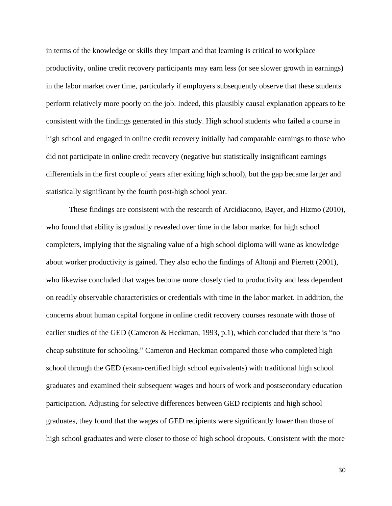in terms of the knowledge or skills they impart and that learning is critical to workplace productivity, online credit recovery participants may earn less (or see slower growth in earnings) in the labor market over time, particularly if employers subsequently observe that these students perform relatively more poorly on the job. Indeed, this plausibly causal explanation appears to be consistent with the findings generated in this study. High school students who failed a course in high school and engaged in online credit recovery initially had comparable earnings to those who did not participate in online credit recovery (negative but statistically insignificant earnings differentials in the first couple of years after exiting high school), but the gap became larger and statistically significant by the fourth post-high school year.

These findings are consistent with the research of Arcidiacono, Bayer, and Hizmo (2010), who found that ability is gradually revealed over time in the labor market for high school completers, implying that the signaling value of a high school diploma will wane as knowledge about worker productivity is gained. They also echo the findings of Altonji and Pierrett (2001), who likewise concluded that wages become more closely tied to productivity and less dependent on readily observable characteristics or credentials with time in the labor market. In addition, the concerns about human capital forgone in online credit recovery courses resonate with those of earlier studies of the GED (Cameron & Heckman, 1993, p.1), which concluded that there is "no cheap substitute for schooling." Cameron and Heckman compared those who completed high school through the GED (exam-certified high school equivalents) with traditional high school graduates and examined their subsequent wages and hours of work and postsecondary education participation. Adjusting for selective differences between GED recipients and high school graduates, they found that the wages of GED recipients were significantly lower than those of high school graduates and were closer to those of high school dropouts. Consistent with the more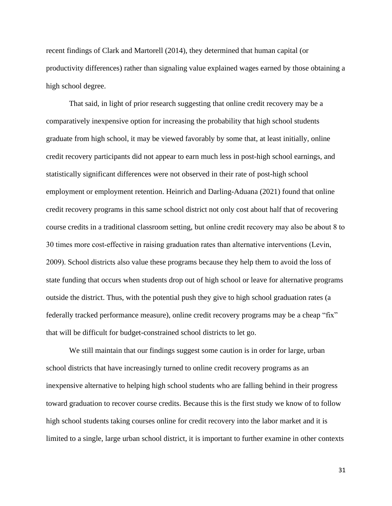recent findings of Clark and Martorell (2014), they determined that human capital (or productivity differences) rather than signaling value explained wages earned by those obtaining a high school degree.

That said, in light of prior research suggesting that online credit recovery may be a comparatively inexpensive option for increasing the probability that high school students graduate from high school, it may be viewed favorably by some that, at least initially, online credit recovery participants did not appear to earn much less in post-high school earnings, and statistically significant differences were not observed in their rate of post-high school employment or employment retention. Heinrich and Darling-Aduana (2021) found that online credit recovery programs in this same school district not only cost about half that of recovering course credits in a traditional classroom setting, but online credit recovery may also be about 8 to 30 times more cost-effective in raising graduation rates than alternative interventions (Levin, 2009). School districts also value these programs because they help them to avoid the loss of state funding that occurs when students drop out of high school or leave for alternative programs outside the district. Thus, with the potential push they give to high school graduation rates (a federally tracked performance measure), online credit recovery programs may be a cheap "fix" that will be difficult for budget-constrained school districts to let go.

We still maintain that our findings suggest some caution is in order for large, urban school districts that have increasingly turned to online credit recovery programs as an inexpensive alternative to helping high school students who are falling behind in their progress toward graduation to recover course credits. Because this is the first study we know of to follow high school students taking courses online for credit recovery into the labor market and it is limited to a single, large urban school district, it is important to further examine in other contexts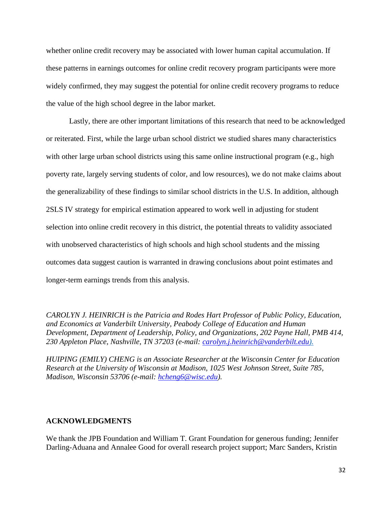whether online credit recovery may be associated with lower human capital accumulation. If these patterns in earnings outcomes for online credit recovery program participants were more widely confirmed, they may suggest the potential for online credit recovery programs to reduce the value of the high school degree in the labor market.

Lastly, there are other important limitations of this research that need to be acknowledged or reiterated. First, while the large urban school district we studied shares many characteristics with other large urban school districts using this same online instructional program (e.g., high poverty rate, largely serving students of color, and low resources), we do not make claims about the generalizability of these findings to similar school districts in the U.S. In addition, although 2SLS IV strategy for empirical estimation appeared to work well in adjusting for student selection into online credit recovery in this district, the potential threats to validity associated with unobserved characteristics of high schools and high school students and the missing outcomes data suggest caution is warranted in drawing conclusions about point estimates and longer-term earnings trends from this analysis.

*CAROLYN J. HEINRICH is the Patricia and Rodes Hart Professor of Public Policy, Education, and Economics at Vanderbilt University, Peabody College of Education and Human Development, Department of Leadership, Policy, and Organizations, 202 Payne Hall, PMB 414, 230 Appleton Place, Nashville, TN 37203 (e-mail: [carolyn.j.heinrich@vanderbilt.edu\)](mailto:carolyn.j.heinrich@vanderbilt.edu).*

*HUIPING (EMILY) CHENG is an Associate Researcher at the Wisconsin Center for Education Research at the University of Wisconsin at Madison, 1025 West Johnson Street, Suite 785, Madison, Wisconsin 53706 (e-mail: [hcheng6@wisc.edu\)](mailto:hcheng6@wisc.edu).*

# **ACKNOWLEDGMENTS**

We thank the JPB Foundation and William T. Grant Foundation for generous funding; Jennifer Darling-Aduana and Annalee Good for overall research project support; Marc Sanders, Kristin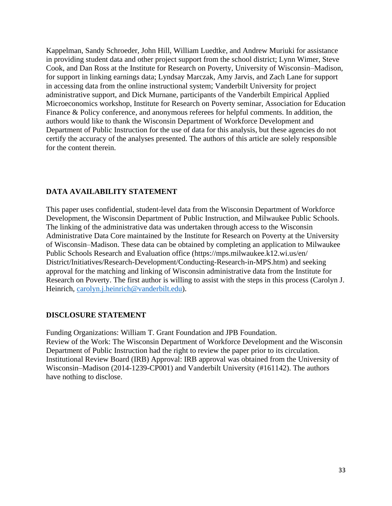Kappelman, Sandy Schroeder, John Hill, William Luedtke, and Andrew Muriuki for assistance in providing student data and other project support from the school district; Lynn Wimer, Steve Cook, and Dan Ross at the Institute for Research on Poverty, University of Wisconsin–Madison, for support in linking earnings data; Lyndsay Marczak, Amy Jarvis, and Zach Lane for support in accessing data from the online instructional system; Vanderbilt University for project administrative support, and Dick Murnane, participants of the Vanderbilt Empirical Applied Microeconomics workshop, Institute for Research on Poverty seminar, Association for Education Finance & Policy conference, and anonymous referees for helpful comments. In addition, the authors would like to thank the Wisconsin Department of Workforce Development and Department of Public Instruction for the use of data for this analysis, but these agencies do not certify the accuracy of the analyses presented. The authors of this article are solely responsible for the content therein.

# **DATA AVAILABILITY STATEMENT**

This paper uses confidential, student-level data from the Wisconsin Department of Workforce Development, the Wisconsin Department of Public Instruction, and Milwaukee Public Schools. The linking of the administrative data was undertaken through access to the Wisconsin Administrative Data Core maintained by the Institute for Research on Poverty at the University of Wisconsin–Madison. These data can be obtained by completing an application to Milwaukee Public Schools Research and Evaluation office (https://mps.milwaukee.k12.wi.us/en/ District/Initiatives/Research-Development/Conducting-Research-in-MPS.htm) and seeking approval for the matching and linking of Wisconsin administrative data from the Institute for Research on Poverty. The first author is willing to assist with the steps in this process (Carolyn J. Heinrich, [carolyn.j.heinrich@vanderbilt.edu\)](mailto:carolyn.j.heinrich@vanderbilt.edu).

# **DISCLOSURE STATEMENT**

Funding Organizations: William T. Grant Foundation and JPB Foundation. Review of the Work: The Wisconsin Department of Workforce Development and the Wisconsin Department of Public Instruction had the right to review the paper prior to its circulation. Institutional Review Board (IRB) Approval: IRB approval was obtained from the University of Wisconsin–Madison (2014-1239-CP001) and Vanderbilt University (#161142). The authors have nothing to disclose.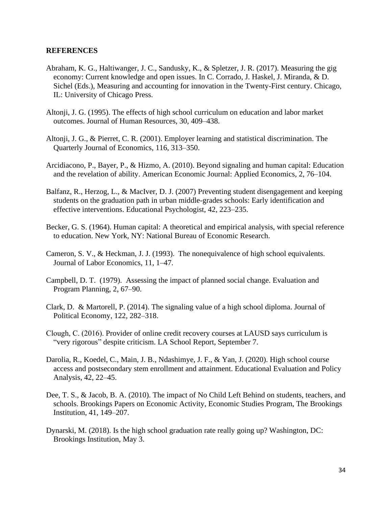# **REFERENCES**

- Abraham, K. G., Haltiwanger, J. C., Sandusky, K., & Spletzer, J. R. (2017). Measuring the gig economy: Current knowledge and open issues. In C. Corrado, J. Haskel, J. Miranda, & D. Sichel (Eds.), Measuring and accounting for innovation in the Twenty-First century. Chicago, IL: University of Chicago Press.
- Altonji, J. G. (1995). The effects of high school curriculum on education and labor market outcomes. Journal of Human Resources*,* 30, 409–438.
- Altonji, J. G., & Pierret, C. R. (2001). Employer learning and statistical discrimination. The Quarterly Journal of Economics, 116, 313–350.
- Arcidiacono, P., Bayer, P., & Hizmo, A. (2010). Beyond signaling and human capital: Education and the revelation of ability. American Economic Journal: Applied Economics*,* 2, 76–104.
- Balfanz, R., Herzog, L., & MacIver, D. J. (2007) Preventing student disengagement and keeping students on the graduation path in urban middle-grades schools: Early identification and effective interventions. Educational Psychologist, 42, 223–235.
- Becker, G. S. (1964). Human capital: A theoretical and empirical analysis, with special reference to education. New York, NY: National Bureau of Economic Research.
- Cameron, S. V., & Heckman, J. J. (1993). The nonequivalence of high school equivalents. Journal of Labor Economics, 11, 1–47.
- Campbell, D. T. (1979). Assessing the impact of planned social change. Evaluation and Program Planning, 2, 67–90.
- Clark, D. & Martorell, P. (2014). The signaling value of a high school diploma. Journal of Political Economy, 122, 282–318.
- Clough, C. (2016). Provider of online credit recovery courses at LAUSD says curriculum is "very rigorous" despite criticism. LA School Report, September 7.
- Darolia, R., Koedel, C., Main, J. B., Ndashimye, J. F., & Yan, J. (2020). High school course access and postsecondary stem enrollment and attainment. Educational Evaluation and Policy Analysis, 42, 22–45.
- Dee, T. S., & Jacob, B. A. (2010). The impact of No Child Left Behind on students, teachers, and schools. Brookings Papers on Economic Activity, Economic Studies Program, The Brookings Institution, 41, 149–207.
- Dynarski, M. (2018). Is the high school graduation rate really going up? Washington, DC: Brookings Institution, May 3.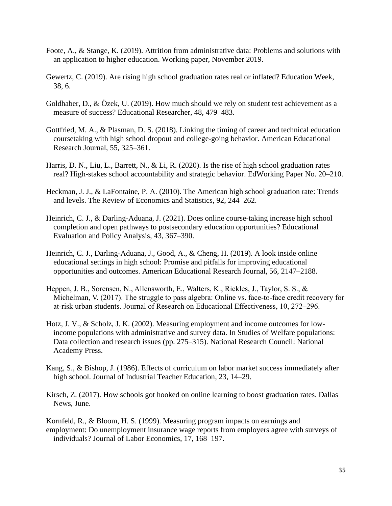- Foote, A., & Stange, K. (2019). Attrition from administrative data: Problems and solutions with an application to higher education. Working paper, November 2019.
- Gewertz, C. (2019). Are rising high school graduation rates real or inflated? Education Week, 38, 6.
- Goldhaber, D., & Özek, U. (2019). How much should we rely on student test achievement as a measure of success? Educational Researcher, 48, 479–483.
- Gottfried, M. A., & Plasman, D. S. (2018). Linking the timing of career and technical education coursetaking with high school dropout and college-going behavior. American Educational Research Journal, 55, 325–361.
- Harris, D. N., Liu, L., Barrett, N., & Li, R. (2020). Is the rise of high school graduation rates real? High-stakes school accountability and strategic behavior. EdWorking Paper No. 20–210.
- Heckman, J. J., & LaFontaine, P. A. (2010). The American high school graduation rate: Trends and levels. The Review of Economics and Statistics, 92, 244–262.
- Heinrich, C. J., & Darling-Aduana, J. (2021). Does online course-taking increase high school completion and open pathways to postsecondary education opportunities? Educational Evaluation and Policy Analysis, 43, 367–390.
- Heinrich, C. J., Darling-Aduana, J., Good, A., & Cheng, H. (2019). A look inside online educational settings in high school: Promise and pitfalls for improving educational opportunities and outcomes. American Educational Research Journal, 56, 2147–2188.
- Heppen, J. B., Sorensen, N., Allensworth, E., Walters, K., Rickles, J., Taylor, S. S., & Michelman, V. (2017). The struggle to pass algebra: Online vs. face-to-face credit recovery for at-risk urban students. Journal of Research on Educational Effectiveness, 10, 272–296.
- Hotz, J. V., & Scholz, J. K. (2002). Measuring employment and income outcomes for lowincome populations with administrative and survey data. In Studies of Welfare populations: Data collection and research issues (pp. 275–315). National Research Council: National Academy Press.
- Kang, S., & Bishop, J. (1986). Effects of curriculum on labor market success immediately after high school. Journal of Industrial Teacher Education, 23, 14–29.
- Kirsch, Z. (2017). How schools got hooked on online learning to boost graduation rates. Dallas News, June.
- Kornfeld, R., & Bloom, H. S. (1999). Measuring program impacts on earnings and employment: Do unemployment insurance wage reports from employers agree with surveys of individuals? Journal of Labor Economics, 17, 168–197.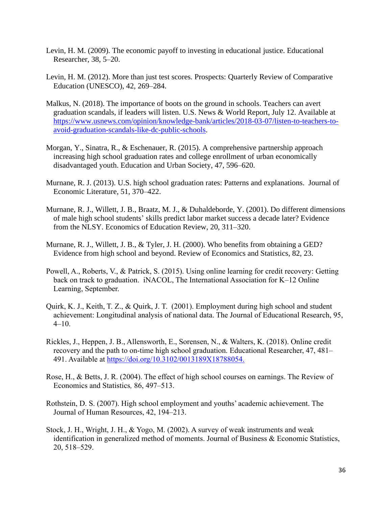- Levin, H. M. (2009). The economic payoff to investing in educational justice. Educational Researcher, 38, 5–20.
- Levin, H. M. (2012). More than just test scores. Prospects: Quarterly Review of Comparative Education (UNESCO), 42, 269–284.
- Malkus, N. (2018). The importance of boots on the ground in schools. Teachers can avert graduation scandals, if leaders will listen. U.S. News & World Report, July 12. Available at [https://www.usnews.com/opinion/knowledge-bank/articles/2018-03-07/listen-to-teachers-to](https://www.usnews.com/opinion/knowledge-bank/articles/2018-03-07/listen-to-teachers-to-avoid-graduation-scandals-like-dc-public-schools)[avoid-graduation-scandals-like-dc-public-schools.](https://www.usnews.com/opinion/knowledge-bank/articles/2018-03-07/listen-to-teachers-to-avoid-graduation-scandals-like-dc-public-schools)
- Morgan, Y., Sinatra, R., & Eschenauer, R. (2015). A comprehensive partnership approach increasing high school graduation rates and college enrollment of urban economically disadvantaged youth. Education and Urban Society, 47, 596–620.
- Murnane, R. J. (2013). U.S. high school graduation rates: Patterns and explanations. Journal of Economic Literature, 51, 370–422.
- Murnane, R. J., Willett, J. B., Braatz, M. J., & Duhaldeborde, Y. (2001). Do different dimensions of male high school students' skills predict labor market success a decade later? Evidence from the NLSY. Economics of Education Review, 20, 311–320.
- Murnane, R. J., Willett, J. B., & Tyler, J. H. (2000). Who benefits from obtaining a GED? Evidence from high school and beyond. Review of Economics and Statistics, 82, 23.
- Powell, A., Roberts, V., & Patrick, S. (2015). Using online learning for credit recovery: Getting back on track to graduation. iNACOL, The International Association for K–12 Online Learning, September.
- Quirk, K. J., Keith, T. Z., & Quirk, J. T. (2001). Employment during high school and student achievement: Longitudinal analysis of national data. The Journal of Educational Research, 95,  $4-10.$
- Rickles, J., Heppen, J. B., Allensworth, E., Sorensen, N., & Walters, K. (2018). Online credit recovery and the path to on-time high school graduation. Educational Researcher, 47, 481– 491. Available at [https://doi.org/10.3102/0013189X18788054.](https://doi.org/10.3102/0013189X18788054)
- Rose, H., & Betts, J. R. (2004). The effect of high school courses on earnings. The Review of Economics and Statistics*,* 86, 497–513.
- Rothstein, D. S. (2007). High school employment and youths' academic achievement. The Journal of Human Resources, 42, 194–213.
- Stock, J. H., Wright, J. H., & Yogo, M. (2002). A survey of weak instruments and weak identification in generalized method of moments. Journal of Business & Economic Statistics, 20, 518–529.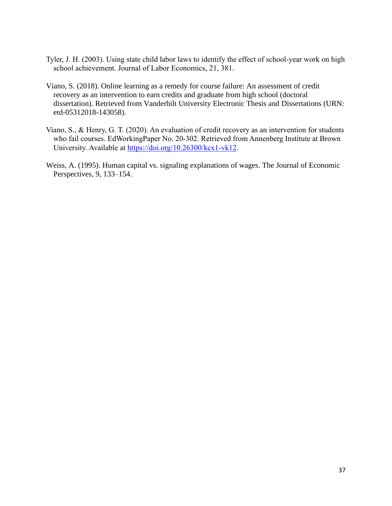- Tyler, J. H. (2003). Using state child labor laws to identify the effect of school-year work on high school achievement. Journal of Labor Economics, 21, 381.
- Viano, S. (2018). Online learning as a remedy for course failure: An assessment of credit recovery as an intervention to earn credits and graduate from high school (doctoral dissertation). Retrieved from Vanderbilt University Electronic Thesis and Dissertations (URN: etd-05312018-143058).
- Viano, S., & Henry, G. T. (2020). An evaluation of credit recovery as an intervention for students who fail courses. EdWorkingPaper No. 20-302. Retrieved from Annenberg Institute at Brown University. Available at [https://doi.org/10.26300/kcx1-vk12.](https://doi.org/10.26300/kcx1-vk12)
- Weiss, A. (1995). Human capital vs. signaling explanations of wages. The Journal of Economic Perspectives, 9, 133–154.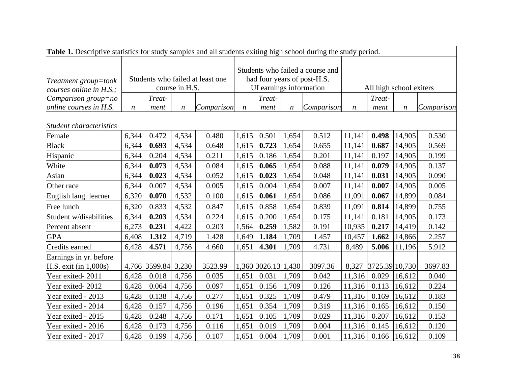| <b>Table 1.</b> Descriptive statistics for study samples and all students exiting high school during the study period. |                                                    |                     |                  |            |                                                                                            |                     |                  |            |                         |                |                  |            |
|------------------------------------------------------------------------------------------------------------------------|----------------------------------------------------|---------------------|------------------|------------|--------------------------------------------------------------------------------------------|---------------------|------------------|------------|-------------------------|----------------|------------------|------------|
| Treatment group=took<br>courses online in $H.S.$ ;                                                                     | Students who failed at least one<br>course in H.S. |                     |                  |            | Students who failed a course and<br>had four years of post-H.S.<br>UI earnings information |                     |                  |            | All high school exiters |                |                  |            |
| Comparison group=no                                                                                                    |                                                    | Treat-              |                  |            |                                                                                            | Treat-              |                  |            |                         | Treat-         |                  |            |
| online courses in H.S.                                                                                                 | $\boldsymbol{n}$                                   | ment                | $\boldsymbol{n}$ | Comparison | $\boldsymbol{n}$                                                                           | ment                | $\boldsymbol{n}$ | Comparison | $\boldsymbol{n}$        | ment           | $\boldsymbol{n}$ | Comparison |
| Student characteristics                                                                                                |                                                    |                     |                  |            |                                                                                            |                     |                  |            |                         |                |                  |            |
| Female                                                                                                                 | 6,344                                              | 0.472               | 4,534            | 0.480      | 1,615                                                                                      | 0.501               | 1,654            | 0.512      | 11,141                  | 0.498          | 14,905           | 0.530      |
| <b>Black</b>                                                                                                           | 6,344                                              | 0.693               | 4,534            | 0.648      | 1,615                                                                                      | 0.723               | 1,654            | 0.655      | 11,141                  | 0.687          | 14,905           | 0.569      |
| Hispanic                                                                                                               | 6,344                                              | 0.204               | 4,534            | 0.211      | 1,615                                                                                      | 0.186               | 1,654            | 0.201      | 11,141                  | 0.197          | 14,905           | 0.199      |
| White                                                                                                                  | 6,344                                              | 0.073               | 4,534            | 0.084      | 1,615                                                                                      | 0.065               | 1,654            | 0.088      | 11,141                  | 0.079          | 14,905           | 0.137      |
| Asian                                                                                                                  | 6,344                                              | 0.023               | 4,534            | 0.052      | 1,615                                                                                      | 0.023               | 1,654            | 0.048      | 11,141                  | 0.031          | 14,905           | 0.090      |
| Other race                                                                                                             | 6,344                                              | 0.007               | 4,534            | 0.005      | 1,615                                                                                      | 0.004               | 1,654            | 0.007      | 11,141                  | 0.007          | 14,905           | 0.005      |
| English lang. learner                                                                                                  | 6,320                                              | 0.070               | 4,532            | 0.100      | 1,615                                                                                      | 0.061               | 1,654            | 0.086      | 11,091                  | 0.067          | 14,899           | 0.084      |
| Free lunch                                                                                                             | 6,320                                              | 0.833               | 4,532            | 0.847      | 1,615                                                                                      | 0.858               | 1,654            | 0.839      | 11,091                  | 0.814          | 14,899           | 0.755      |
| Student w/disabilities                                                                                                 | 6,344                                              | 0.203               | 4,534            | 0.224      | 1,615                                                                                      | 0.200               | 1,654            | 0.175      | 11,141                  | 0.181          | 14,905           | 0.173      |
| Percent absent                                                                                                         | 6,273                                              | 0.231               | 4,422            | 0.203      | 1,564                                                                                      | 0.259               | 1,582            | 0.191      | 10,935                  | 0.217          | 14,419           | 0.142      |
| <b>GPA</b>                                                                                                             | 6,408                                              | 1.312               | 4,719            | 1.428      | 1,649                                                                                      | 1.184               | 1,709            | 1.457      | 10,457                  | 1.662          | 14,866           | 2.257      |
| Credits earned                                                                                                         | 6,428                                              | 4.571               | 4,756            | 4.660      | 1,651                                                                                      | 4.301               | 1,709            | 4.731      | 8,489                   | 5.006          | 11,196           | 5.912      |
| Earnings in yr. before<br>H.S. exit (in 1,000s)                                                                        |                                                    | 4,766 3599.84 3,230 |                  | 3523.99    |                                                                                            | 1,360 3026.13 1,430 |                  | 3097.36    | 8,327                   | 3725.39 10,730 |                  | 3697.83    |
| Year exited-2011                                                                                                       | 6,428                                              | 0.018               | 4,756            | 0.035      | 1,651                                                                                      | 0.031               | 1,709            | 0.042      | 11,316                  | 0.029          | 16,612           | 0.040      |
| Year exited-2012                                                                                                       | 6,428                                              | 0.064               | 4,756            | 0.097      | 1,651                                                                                      | 0.156               | 1,709            | 0.126      | 11,316                  | 0.113          | 16,612           | 0.224      |
| Year exited - 2013                                                                                                     | 6,428                                              | 0.138               | 4,756            | 0.277      | 1,651                                                                                      | 0.325               | 1,709            | 0.479      | 11,316                  | 0.169          | 16,612           | 0.183      |
| Year exited - 2014                                                                                                     | 6,428                                              | 0.157               | 4,756            | 0.196      | 1,651                                                                                      | 0.354               | 1,709            | 0.319      | 11,316                  | 0.165          | 16,612           | 0.150      |
| Year exited - 2015                                                                                                     | 6,428                                              | 0.248               | 4,756            | 0.171      | 1,651                                                                                      | 0.105               | 1,709            | 0.029      | 11,316                  | 0.207          | 16,612           | 0.153      |
| Year exited - 2016                                                                                                     | 6,428                                              | 0.173               | 4,756            | 0.116      | 1,651                                                                                      | 0.019               | 1,709            | 0.004      | 11,316                  | 0.145          | 16,612           | 0.120      |
| Year exited - 2017                                                                                                     | 6,428                                              | 0.199               | 4,756            | 0.107      | 1,651                                                                                      | 0.004               | 1,709            | 0.001      | 11,316                  | 0.166          | 16,612           | 0.109      |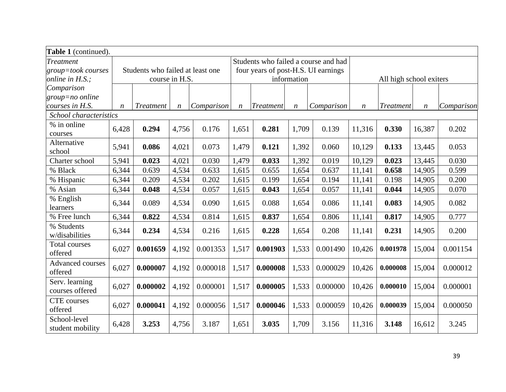| Table 1 (continued).               |                                  |                  |                  |            |                                      |           |                  |            |                         |                  |                  |            |
|------------------------------------|----------------------------------|------------------|------------------|------------|--------------------------------------|-----------|------------------|------------|-------------------------|------------------|------------------|------------|
| Treatment                          |                                  |                  |                  |            | Students who failed a course and had |           |                  |            |                         |                  |                  |            |
| group=took courses                 | Students who failed at least one |                  |                  |            | four years of post-H.S. UI earnings  |           |                  |            |                         |                  |                  |            |
| online in H.S.;                    |                                  |                  | course in H.S.   |            |                                      |           | information      |            | All high school exiters |                  |                  |            |
| Comparison                         |                                  |                  |                  |            |                                      |           |                  |            |                         |                  |                  |            |
| $group = no$ online                |                                  |                  |                  |            |                                      |           |                  |            |                         |                  |                  |            |
| courses in H.S.                    | $\boldsymbol{n}$                 | <b>Treatment</b> | $\boldsymbol{n}$ | Comparison | $\boldsymbol{n}$                     | Treatment | $\boldsymbol{n}$ | Comparison | n                       | <b>Treatment</b> | $\boldsymbol{n}$ | Comparison |
| School characteristics             |                                  |                  |                  |            |                                      |           |                  |            |                         |                  |                  |            |
| % in online<br>courses             | 6,428                            | 0.294            | 4,756            | 0.176      | 1,651                                | 0.281     | 1,709            | 0.139      | 11,316                  | 0.330            | 16,387           | 0.202      |
| Alternative<br>school              | 5,941                            | 0.086            | 4,021            | 0.073      | 1,479                                | 0.121     | 1,392            | 0.060      | 10,129                  | 0.133            | 13,445           | 0.053      |
| Charter school                     | 5,941                            | 0.023            | 4,021            | 0.030      | 1,479                                | 0.033     | 1,392            | 0.019      | 10,129                  | 0.023            | 13,445           | 0.030      |
| % Black                            | 6,344                            | 0.639            | 4,534            | 0.633      | 1,615                                | 0.655     | 1,654            | 0.637      | 11,141                  | 0.658            | 14,905           | 0.599      |
| % Hispanic                         | 6,344                            | 0.209            | 4,534            | 0.202      | 1,615                                | 0.199     | 1,654            | 0.194      | 11,141                  | 0.198            | 14,905           | 0.200      |
| % Asian                            | 6,344                            | 0.048            | 4,534            | 0.057      | 1,615                                | 0.043     | 1,654            | 0.057      | 11,141                  | 0.044            | 14,905           | 0.070      |
| % English<br>learners              | 6,344                            | 0.089            | 4,534            | 0.090      | 1,615                                | 0.088     | 1,654            | 0.086      | 11,141                  | 0.083            | 14,905           | 0.082      |
| % Free lunch                       | 6,344                            | 0.822            | 4,534            | 0.814      | 1,615                                | 0.837     | 1,654            | 0.806      | 11,141                  | 0.817            | 14,905           | 0.777      |
| % Students<br>w/disabilities       | 6,344                            | 0.234            | 4,534            | 0.216      | 1,615                                | 0.228     | 1,654            | 0.208      | 11,141                  | 0.231            | 14,905           | 0.200      |
| Total courses<br>offered           | 6,027                            | 0.001659         | 4,192            | 0.001353   | 1,517                                | 0.001903  | 1,533            | 0.001490   | 10,426                  | 0.001978         | 15,004           | 0.001154   |
| <b>Advanced courses</b><br>offered | 6,027                            | 0.000007         | 4,192            | 0.000018   | 1,517                                | 0.000008  | 1,533            | 0.000029   | 10,426                  | 0.000008         | 15,004           | 0.000012   |
| Serv. learning<br>courses offered  | 6,027                            | 0.000002         | 4,192            | 0.000001   | 1,517                                | 0.000005  | 1,533            | 0.000000   | 10,426                  | 0.000010         | 15,004           | 0.000001   |
| <b>CTE</b> courses<br>offered      | 6,027                            | 0.000041         | 4,192            | 0.000056   | 1,517                                | 0.000046  | 1,533            | 0.000059   | 10,426                  | 0.000039         | 15,004           | 0.000050   |
| School-level<br>student mobility   | 6,428                            | 3.253            | 4,756            | 3.187      | 1,651                                | 3.035     | 1,709            | 3.156      | 11,316                  | 3.148            | 16,612           | 3.245      |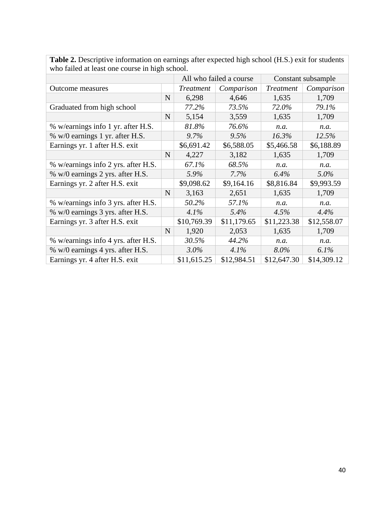| who rance at reast one course in man senoon. |             |                  |                         |                    |             |  |  |
|----------------------------------------------|-------------|------------------|-------------------------|--------------------|-------------|--|--|
|                                              |             |                  | All who failed a course | Constant subsample |             |  |  |
| <b>Outcome measures</b>                      |             | <b>Treatment</b> | Comparison              | <b>Treatment</b>   | Comparison  |  |  |
|                                              | N           | 6,298            | 4,646                   | 1,635              | 1,709       |  |  |
| Graduated from high school                   |             | 77.2%            | 73.5%                   | 72.0%              | 79.1%       |  |  |
|                                              | $\mathbf N$ | 5,154            | 3,559                   | 1,635              | 1,709       |  |  |
| % w/earnings info 1 yr. after H.S.           |             | 81.8%            | 76.6%                   | n.a.               | n.a.        |  |  |
| % w/0 earnings 1 yr. after H.S.              |             | 9.7%             | 9.5%                    | 16.3%              | 12.5%       |  |  |
| Earnings yr. 1 after H.S. exit               |             | \$6,691.42       | \$6,588.05              | \$5,466.58         | \$6,188.89  |  |  |
|                                              | $\mathbf N$ | 4,227            | 3,182                   | 1,635              | 1,709       |  |  |
| % w/earnings info 2 yrs. after H.S.          |             | 67.1%            | 68.5%                   | n.a.               | n.a.        |  |  |
| % w/0 earnings 2 yrs. after H.S.             |             | 5.9%             | 7.7%                    | 6.4%               | $5.0\%$     |  |  |
| Earnings yr. 2 after H.S. exit               |             | \$9,098.62       | \$9,164.16              | \$8,816.84         | \$9,993.59  |  |  |
|                                              | $\mathbf N$ | 3,163            | 2,651                   | 1,635              | 1,709       |  |  |
| % w/earnings info 3 yrs. after H.S.          |             | 50.2%            | 57.1%                   | n.a.               | n.a.        |  |  |
| % w/0 earnings 3 yrs. after H.S.             |             | 4.1%             | 5.4%                    | 4.5%               | $4.4\%$     |  |  |
| Earnings yr. 3 after H.S. exit               |             | \$10,769.39      | \$11,179.65             | \$11,223.38        | \$12,558.07 |  |  |
|                                              | $\mathbf N$ | 1,920            | 2,053                   | 1,635              | 1,709       |  |  |
| % w/earnings info 4 yrs. after H.S.          |             | 30.5%            | 44.2%                   | n.a.               | n.a.        |  |  |
| % w/0 earnings 4 yrs. after H.S.             |             | 3.0%             | 4.1%                    | $8.0\%$            | $6.1\%$     |  |  |
| Earnings yr. 4 after H.S. exit               |             | \$11,615.25      | \$12,984.51             | \$12,647.30        | \$14,309.12 |  |  |

**Table 2.** Descriptive information on earnings after expected high school (H.S.) exit for students who failed at least one course in high school.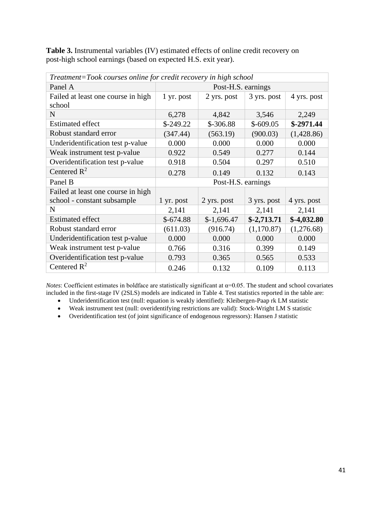**Table 3.** Instrumental variables (IV) estimated effects of online credit recovery on post-high school earnings (based on expected H.S. exit year).

| Treatment=Took courses online for credit recovery in high school |                    |              |              |              |  |  |  |
|------------------------------------------------------------------|--------------------|--------------|--------------|--------------|--|--|--|
| Panel A                                                          | Post-H.S. earnings |              |              |              |  |  |  |
| Failed at least one course in high                               | 1 yr. post         | 2 yrs. post  | 3 yrs. post  | 4 yrs. post  |  |  |  |
| school                                                           |                    |              |              |              |  |  |  |
| N                                                                | 6,278              | 4,842        | 3,546        | 2,249        |  |  |  |
| <b>Estimated effect</b>                                          | $$-249.22$         | $$-306.88$   | $$-609.05$   | $$-2971.44$  |  |  |  |
| Robust standard error                                            | (347.44)           | (563.19)     | (900.03)     | (1,428.86)   |  |  |  |
| Underidentification test p-value                                 | 0.000              | 0.000        | 0.000        | 0.000        |  |  |  |
| Weak instrument test p-value                                     | 0.922              | 0.549        | 0.277        | 0.144        |  |  |  |
| Overidentification test p-value                                  | 0.918              | 0.504        | 0.297        | 0.510        |  |  |  |
| Centered $R^2$                                                   | 0.278              | 0.149        | 0.132        | 0.143        |  |  |  |
| Panel B                                                          | Post-H.S. earnings |              |              |              |  |  |  |
| Failed at least one course in high                               |                    |              |              |              |  |  |  |
| school - constant subsample                                      | $1 \,$ yr. post    | 2 yrs. post  | 3 yrs. post  | 4 yrs. post  |  |  |  |
| N                                                                | 2,141              | 2,141        | 2,141        | 2,141        |  |  |  |
| <b>Estimated effect</b>                                          | $$-674.88$         | $$-1,696.47$ | $$-2,713.71$ | $$-4,032.80$ |  |  |  |
| Robust standard error                                            | (611.03)           | (916.74)     | (1,170.87)   | (1,276.68)   |  |  |  |
| Underidentification test p-value                                 | 0.000              | 0.000        | 0.000        | 0.000        |  |  |  |
| Weak instrument test p-value                                     | 0.766              | 0.316        | 0.399        | 0.149        |  |  |  |
| Overidentification test p-value                                  | 0.793              | 0.365        | 0.565        | 0.533        |  |  |  |
| Centered $\mathbb{R}^2$                                          | 0.246              | 0.132        | 0.109        | 0.113        |  |  |  |

*Notes*: Coefficient estimates in boldface are statistically significant at  $\alpha$ =0.05. The student and school covariates included in the first-stage IV (2SLS) models are indicated in Table 4. Test statistics reported in the table are:

- Underidentification test (null: equation is weakly identified): Kleibergen-Paap rk LM statistic
- Weak instrument test (null: overidentifying restrictions are valid): Stock-Wright LM S statistic
- Overidentification test (of joint significance of endogenous regressors): Hansen J statistic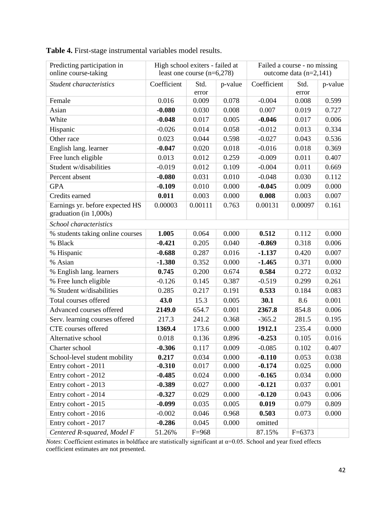| Predicting participation in                               | High school exiters - failed at |                              |         | Failed a course - no missing |            |         |  |
|-----------------------------------------------------------|---------------------------------|------------------------------|---------|------------------------------|------------|---------|--|
| online course-taking                                      |                                 | least one course $(n=6,278)$ |         | outcome data $(n=2,141)$     |            |         |  |
| Student characteristics                                   | Coefficient                     | Std.                         | p-value | Coefficient                  | Std.       | p-value |  |
|                                                           |                                 | error                        |         |                              | error      |         |  |
| Female                                                    | 0.016                           | 0.009                        | 0.078   | $-0.004$                     | 0.008      | 0.599   |  |
| Asian                                                     | $-0.080$                        | 0.030                        | 0.008   | 0.007                        | 0.019      | 0.727   |  |
| White                                                     | $-0.048$                        | 0.017                        | 0.005   | $-0.046$                     | 0.017      | 0.006   |  |
| Hispanic                                                  | $-0.026$                        | 0.014                        | 0.058   | $-0.012$                     | 0.013      | 0.334   |  |
| Other race                                                | 0.023                           | 0.044                        | 0.598   | $-0.027$                     | 0.043      | 0.536   |  |
| English lang. learner                                     | $-0.047$                        | 0.020                        | 0.018   | $-0.016$                     | 0.018      | 0.369   |  |
| Free lunch eligible                                       | 0.013                           | 0.012                        | 0.259   | $-0.009$                     | 0.011      | 0.407   |  |
| Student w/disabilities                                    | $-0.019$                        | 0.012                        | 0.109   | $-0.004$                     | 0.011      | 0.669   |  |
| Percent absent                                            | $-0.080$                        | 0.031                        | 0.010   | $-0.048$                     | 0.030      | 0.112   |  |
| <b>GPA</b>                                                | $-0.109$                        | 0.010                        | 0.000   | $-0.045$                     | 0.009      | 0.000   |  |
| Credits earned                                            | 0.011                           | 0.003                        | 0.000   | 0.008                        | 0.003      | 0.007   |  |
| Earnings yr. before expected HS<br>graduation (in 1,000s) | 0.00003                         | 0.00111                      | 0.763   | 0.00131                      | 0.00097    | 0.161   |  |
| School characteristics                                    |                                 |                              |         |                              |            |         |  |
| % students taking online courses                          | 1.005                           | 0.064                        | 0.000   | 0.512                        | 0.112      | 0.000   |  |
| % Black                                                   | $-0.421$                        | 0.205                        | 0.040   | $-0.869$                     | 0.318      | 0.006   |  |
| % Hispanic                                                | $-0.688$                        | 0.287                        | 0.016   | $-1.137$                     | 0.420      | 0.007   |  |
| % Asian                                                   | $-1.380$                        | 0.352                        | 0.000   | $-1.465$                     | 0.371      | 0.000   |  |
| % English lang. learners                                  | 0.745                           | 0.200                        | 0.674   | 0.584                        | 0.272      | 0.032   |  |
| % Free lunch eligible                                     | $-0.126$                        | 0.145                        | 0.387   | $-0.519$                     | 0.299      | 0.261   |  |
| % Student w/disabilities                                  | 0.285                           | 0.217                        | 0.191   | 0.533                        | 0.184      | 0.083   |  |
| Total courses offered                                     | 43.0                            | 15.3                         | 0.005   | 30.1                         | 8.6        | 0.001   |  |
| Advanced courses offered                                  | 2149.0                          | 654.7                        | 0.001   | 2367.8                       | 854.8      | 0.006   |  |
| Serv. learning courses offered                            | 217.3                           | 241.2                        | 0.368   | $-365.2$                     | 281.5      | 0.195   |  |
| CTE courses offered                                       | 1369.4                          | 173.6                        | 0.000   | 1912.1                       | 235.4      | 0.000   |  |
| Alternative school                                        | 0.018                           | 0.136                        | 0.896   | $-0.253$                     | 0.105      | 0.016   |  |
| Charter school                                            | $-0.306$                        | 0.117                        | 0.009   | $-0.085$                     | 0.102      | 0.407   |  |
| School-level student mobility                             | 0.217                           | 0.034                        | 0.000   | $-0.110$                     | 0.053      | 0.038   |  |
| Entry cohort - 2011                                       | $-0.310$                        | 0.017                        | 0.000   | $-0.174$                     | 0.025      | 0.000   |  |
| Entry cohort - 2012                                       | $-0.485$                        | 0.024                        | 0.000   | $-0.165$                     | 0.034      | 0.000   |  |
| Entry cohort - 2013                                       | $-0.389$                        | 0.027                        | 0.000   | $-0.121$                     | 0.037      | 0.001   |  |
| Entry cohort - 2014                                       | $-0.327$                        | 0.029                        | 0.000   | $-0.120$                     | 0.043      | 0.006   |  |
| Entry cohort - 2015                                       | $-0.099$                        | 0.035                        | 0.005   | 0.019                        | 0.079      | 0.809   |  |
| Entry cohort - 2016                                       | $-0.002$                        | 0.046                        | 0.968   | 0.503                        | 0.073      | 0.000   |  |
| Entry cohort - 2017                                       | $-0.286$                        | 0.045                        | 0.000   | omitted                      |            |         |  |
| Centered R-squared, Model F                               | 51.26%                          | $F=968$                      |         | 87.15%                       | $F = 6373$ |         |  |

**Table 4.** First-stage instrumental variables model results.

*Notes*: Coefficient estimates in boldface are statistically significant at  $\alpha$ =0.05. School and year fixed effects coefficient estimates are not presented.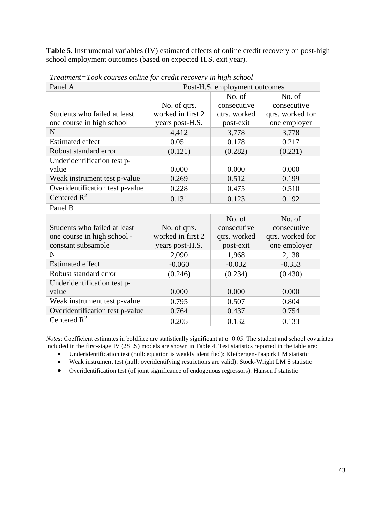**Table 5.** Instrumental variables (IV) estimated effects of online credit recovery on post-high school employment outcomes (based on expected H.S. exit year).

| Treatment=Took courses online for credit recovery in high school |                               |              |                  |  |  |  |  |  |
|------------------------------------------------------------------|-------------------------------|--------------|------------------|--|--|--|--|--|
| Panel A                                                          | Post-H.S. employment outcomes |              |                  |  |  |  |  |  |
|                                                                  |                               | No. of       | No. of           |  |  |  |  |  |
|                                                                  | No. of qtrs.                  | consecutive  | consecutive      |  |  |  |  |  |
| Students who failed at least                                     | worked in first 2             | qtrs. worked | qtrs. worked for |  |  |  |  |  |
| one course in high school                                        | years post-H.S.               | post-exit    | one employer     |  |  |  |  |  |
| N                                                                | 4,412                         | 3,778        | 3,778            |  |  |  |  |  |
| <b>Estimated effect</b>                                          | 0.051                         | 0.178        | 0.217            |  |  |  |  |  |
| Robust standard error                                            | (0.121)                       | (0.282)      | (0.231)          |  |  |  |  |  |
| Underidentification test p-                                      |                               |              |                  |  |  |  |  |  |
| value                                                            | 0.000                         | 0.000        | 0.000            |  |  |  |  |  |
| Weak instrument test p-value                                     | 0.269                         | 0.512        | 0.199            |  |  |  |  |  |
| Overidentification test p-value                                  | 0.228                         | 0.475        | 0.510            |  |  |  |  |  |
| Centered $R^2$                                                   | 0.131                         | 0.123        | 0.192            |  |  |  |  |  |
| Panel B                                                          |                               |              |                  |  |  |  |  |  |
|                                                                  |                               | No. of       | No. of           |  |  |  |  |  |
| Students who failed at least                                     | No. of qtrs.                  | consecutive  | consecutive      |  |  |  |  |  |
| one course in high school -                                      | worked in first 2             | qtrs. worked | qtrs. worked for |  |  |  |  |  |
| constant subsample                                               | years post-H.S.               | post-exit    | one employer     |  |  |  |  |  |
| $\mathbf N$                                                      | 2,090                         | 1,968        | 2,138            |  |  |  |  |  |
| <b>Estimated effect</b>                                          | $-0.060$                      | $-0.032$     | $-0.353$         |  |  |  |  |  |
| Robust standard error                                            | (0.246)                       | (0.234)      | (0.430)          |  |  |  |  |  |
| Underidentification test p-                                      |                               |              |                  |  |  |  |  |  |
| value                                                            | 0.000                         | 0.000        | 0.000            |  |  |  |  |  |
| Weak instrument test p-value                                     | 0.795                         | 0.507        | 0.804            |  |  |  |  |  |
| Overidentification test p-value                                  | 0.764                         | 0.437        | 0.754            |  |  |  |  |  |
| Centered $\mathbb{R}^2$                                          | 0.205                         | 0.132        | 0.133            |  |  |  |  |  |

*Notes*: Coefficient estimates in boldface are statistically significant at  $\alpha$ =0.05. The student and school covariates included in the first-stage IV (2SLS) models are shown in Table 4. Test statistics reported in the table are:

- Underidentification test (null: equation is weakly identified): Kleibergen-Paap rk LM statistic
- Weak instrument test (null: overidentifying restrictions are valid): Stock-Wright LM S statistic
- Overidentification test (of joint significance of endogenous regressors): Hansen J statistic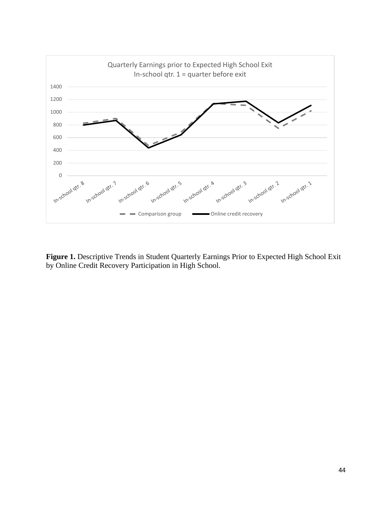

**Figure 1.** Descriptive Trends in Student Quarterly Earnings Prior to Expected High School Exit by Online Credit Recovery Participation in High School.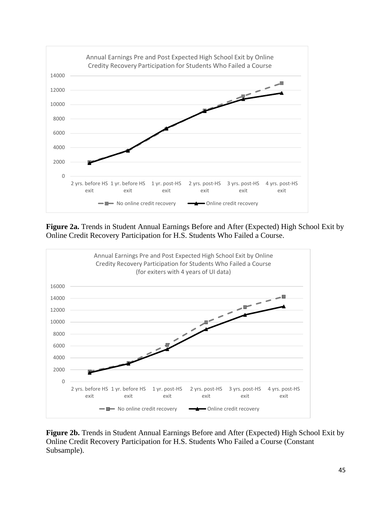

**Figure 2a.** Trends in Student Annual Earnings Before and After (Expected) High School Exit by Online Credit Recovery Participation for H.S. Students Who Failed a Course.



**Figure 2b.** Trends in Student Annual Earnings Before and After (Expected) High School Exit by Online Credit Recovery Participation for H.S. Students Who Failed a Course (Constant Subsample).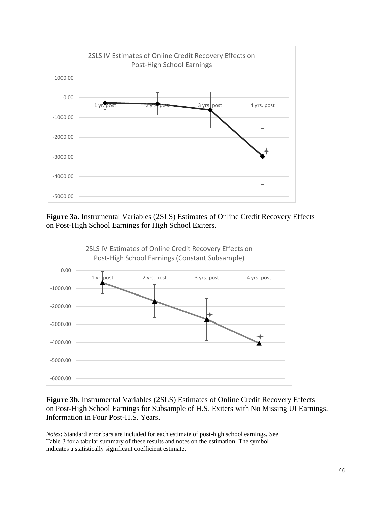

**Figure 3a.** Instrumental Variables (2SLS) Estimates of Online Credit Recovery Effects on Post-High School Earnings for High School Exiters.



# **Figure 3b.** Instrumental Variables (2SLS) Estimates of Online Credit Recovery Effects on Post-High School Earnings for Subsample of H.S. Exiters with No Missing UI Earnings. Information in Four Post-H.S. Years.

*Notes*: Standard error bars are included for each estimate of post-high school earnings. See Table 3 for a tabular summary of these results and notes on the estimation. The symbol indicates a statistically significant coefficient estimate.